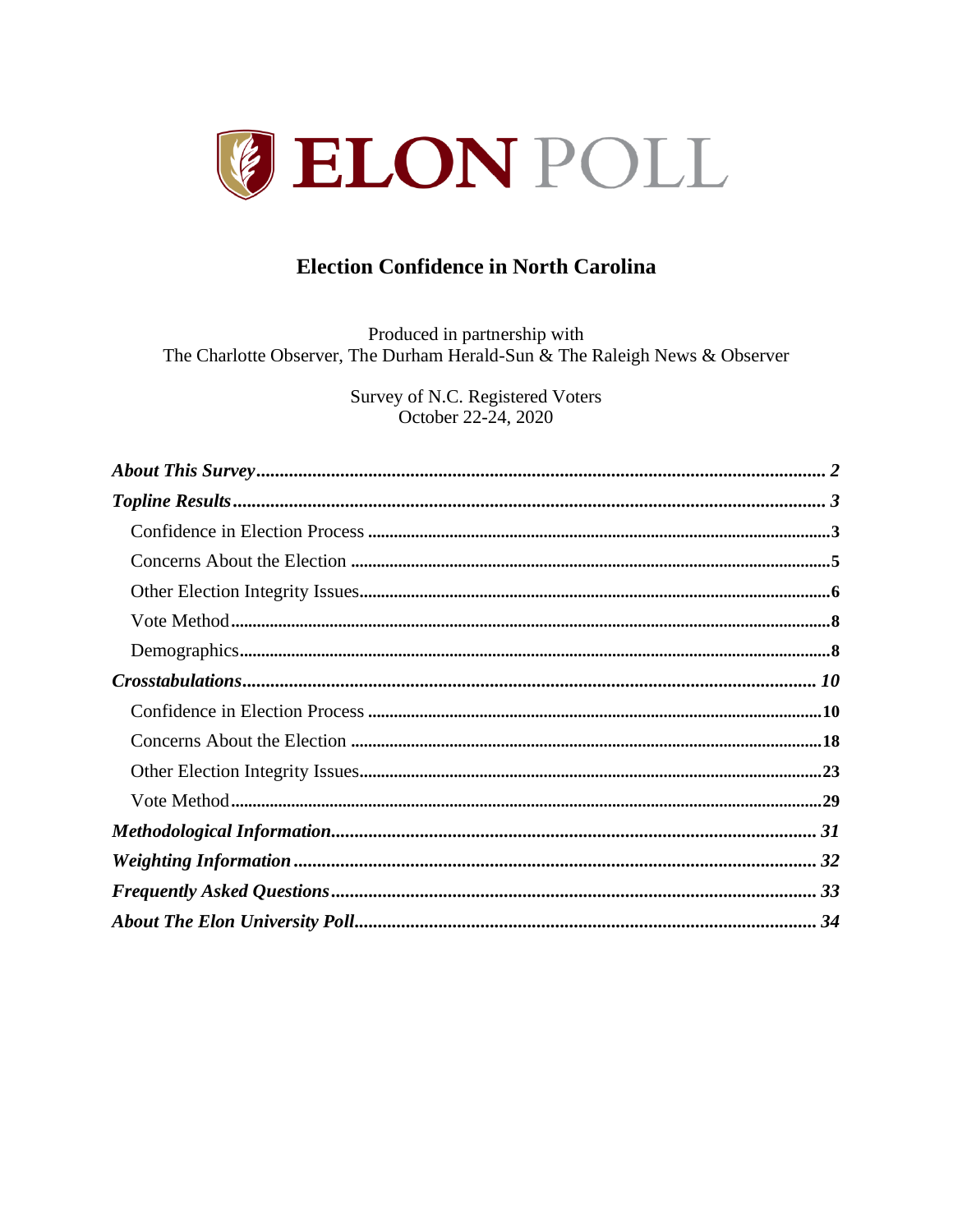

# **Election Confidence in North Carolina**

Produced in partnership with The Charlotte Observer, The Durham Herald-Sun & The Raleigh News & Observer

> Survey of N.C. Registered Voters October 22-24, 2020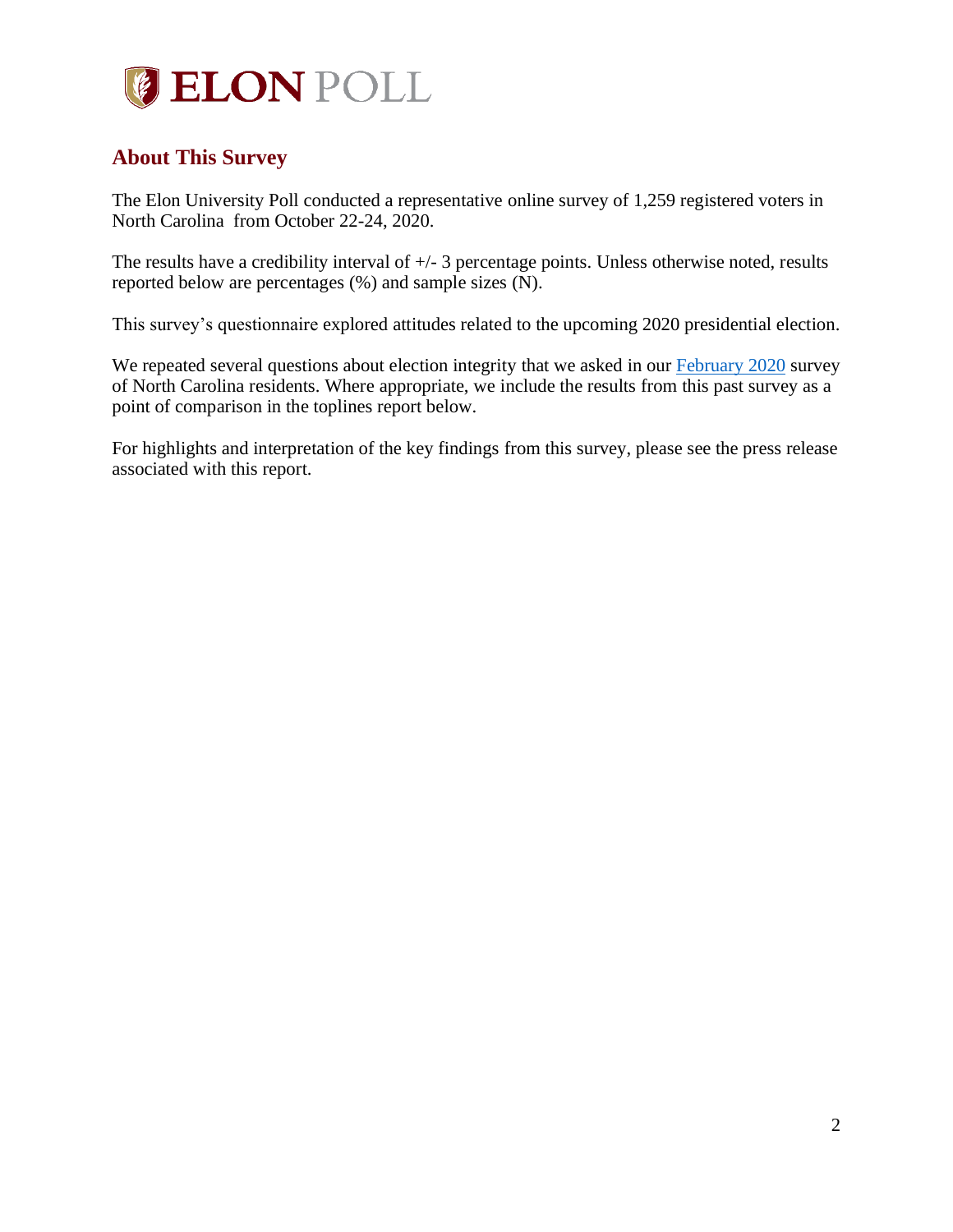

## <span id="page-1-0"></span>**About This Survey**

The Elon University Poll conducted a representative online survey of 1,259 registered voters in North Carolina from October 22-24, 2020.

The results have a credibility interval of +/- 3 percentage points. Unless otherwise noted, results reported below are percentages (%) and sample sizes (N).

This survey's questionnaire explored attitudes related to the upcoming 2020 presidential election.

We repeated several questions about election integrity that we asked in our [February 2020](https://www.elon.edu/u/elon-poll/wp-content/uploads/sites/819/2020/02/2020_2_26-ElonPoll_Report_final.pdf) survey of North Carolina residents. Where appropriate, we include the results from this past survey as a point of comparison in the toplines report below.

For highlights and interpretation of the key findings from this survey, please see the press release associated with this report.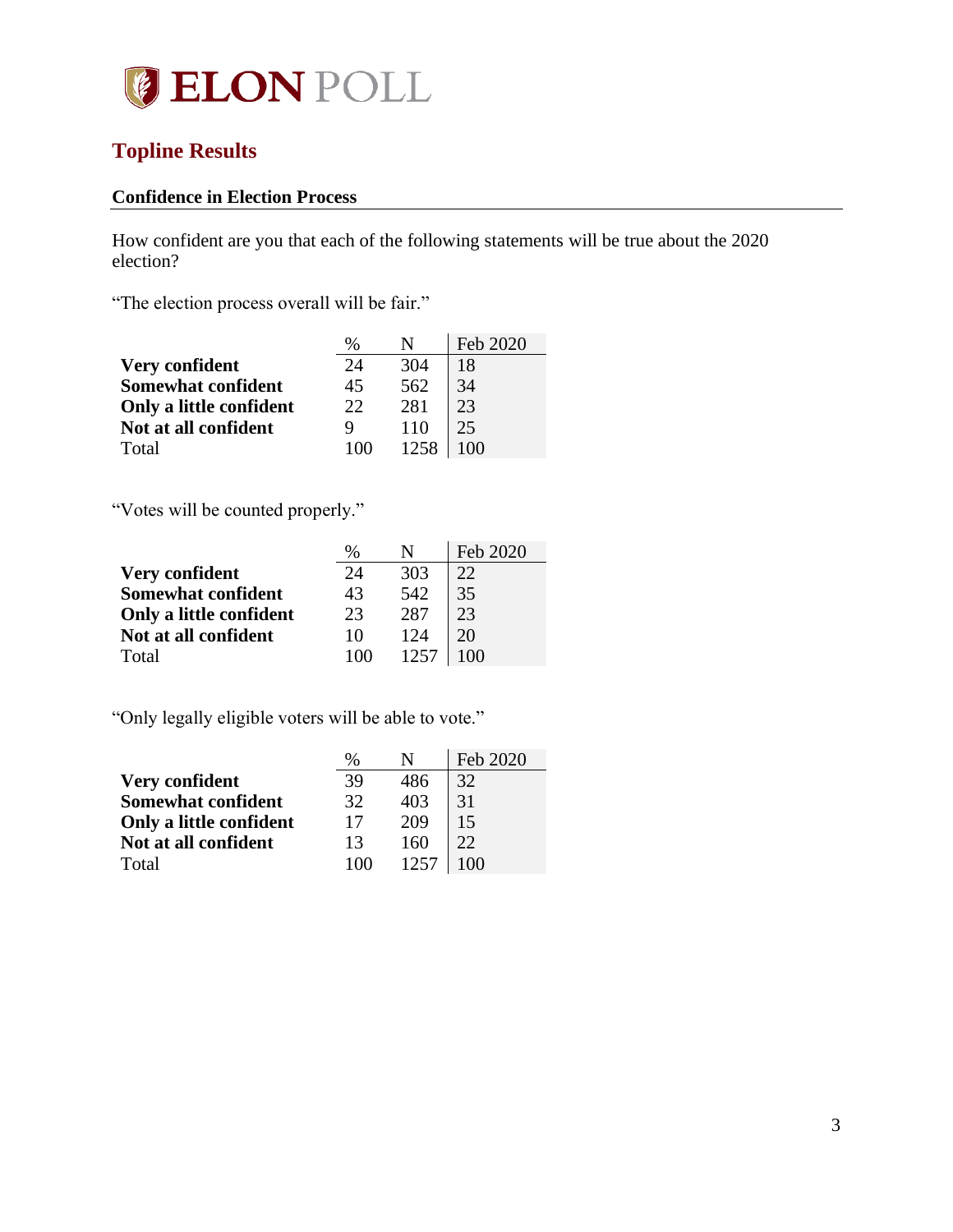

# <span id="page-2-0"></span>**Topline Results**

## <span id="page-2-1"></span>**Confidence in Election Process**

How confident are you that each of the following statements will be true about the 2020 election?

"The election process overall will be fair."

|                           | $\%$ |      | Feb 2020 |
|---------------------------|------|------|----------|
| Very confident            | 24   | 304  | 18       |
| <b>Somewhat confident</b> | 45   | 562  | 34       |
| Only a little confident   | 22   | 281  | 23       |
| Not at all confident      |      | 110  | 25       |
| Total                     | 100  | 1258 | 100      |

"Votes will be counted properly."

|                         | $\%$ |      | Feb 2020 |
|-------------------------|------|------|----------|
| Very confident          | 24   | 303  | 22.      |
| Somewhat confident      | 43   | 542  | 35       |
| Only a little confident | 23   | 287  | 23       |
| Not at all confident    | 10   | 124  | 20       |
| Total                   | 100  | 1257 | 100      |

"Only legally eligible voters will be able to vote."

|                           | $\%$ |      | Feb 2020 |
|---------------------------|------|------|----------|
| Very confident            | 39   | 486  | 32       |
| <b>Somewhat confident</b> | 32   | 403  | 31       |
| Only a little confident   | 17   | 209  | 15       |
| Not at all confident      | 13   | 160  | 22       |
| Total                     | 100  | 1257 | $100 -$  |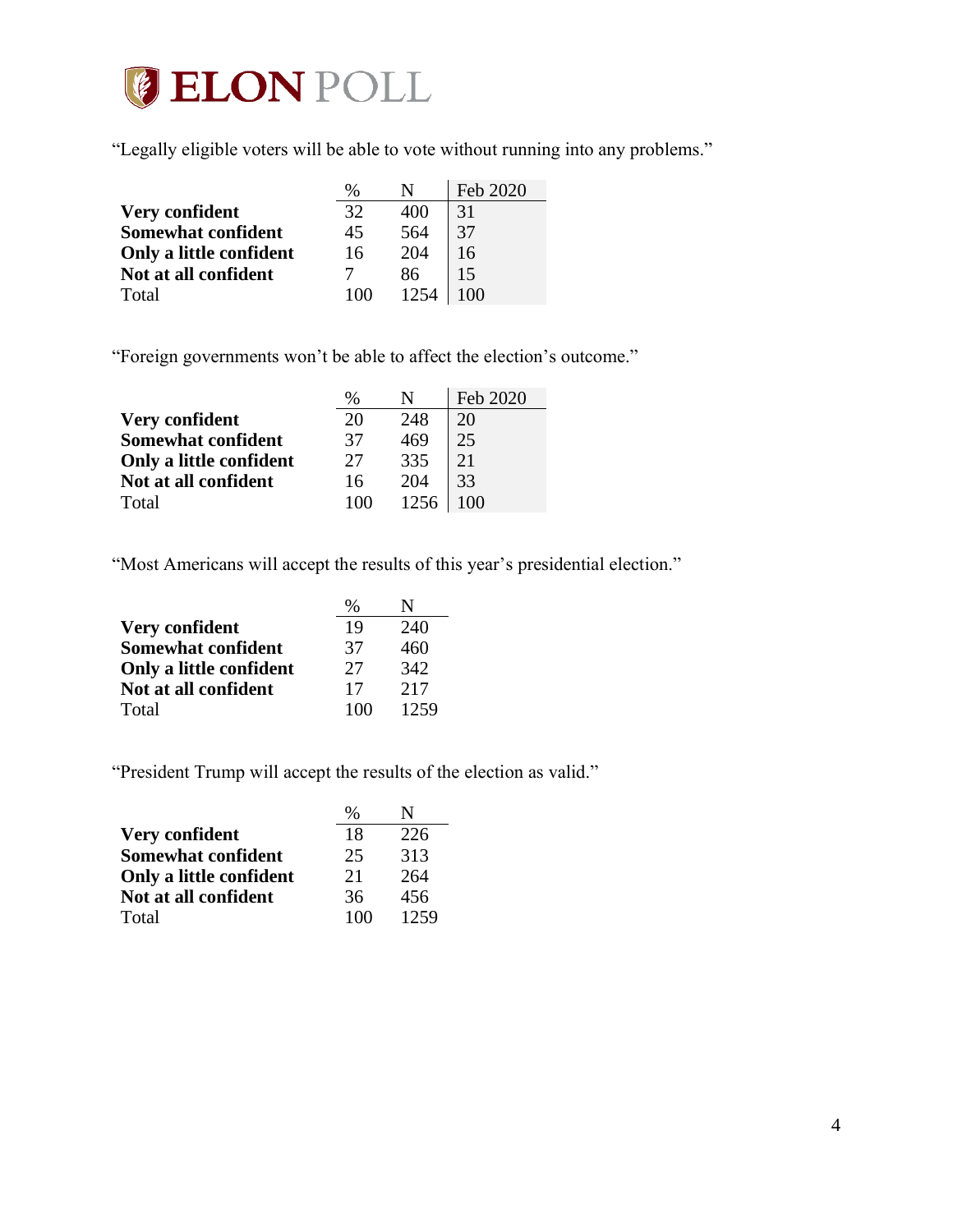

"Legally eligible voters will be able to vote without running into any problems."

|                           | $\%$ |      | Feb 2020 |
|---------------------------|------|------|----------|
| <b>Very confident</b>     | 32   | 400  | 31       |
| <b>Somewhat confident</b> | 45   | 564  | 37       |
| Only a little confident   | 16   | 204  | 16       |
| Not at all confident      |      | 86   | 15       |
| Total                     | 100  | 1254 | 100      |

"Foreign governments won't be able to affect the election's outcome."

|                           | %  |      | Feb 2020 |
|---------------------------|----|------|----------|
| <b>Very confident</b>     | 20 | 248  | 20       |
| <b>Somewhat confident</b> | 37 | 469  | 25       |
| Only a little confident   | 27 | 335  | 21       |
| Not at all confident      | 16 | 204  | 33       |
| Total                     |    | 1256 |          |

"Most Americans will accept the results of this year's presidential election."

|                           | $\frac{0}{0}$ |      |
|---------------------------|---------------|------|
| Very confident            | 19            | 240  |
| <b>Somewhat confident</b> | 37            | 460  |
| Only a little confident   | 27            | 342  |
| Not at all confident      | 17            | 2.17 |
| Total                     | 100           | 1259 |

"President Trump will accept the results of the election as valid."

|                           | $\%$ |      |
|---------------------------|------|------|
| Very confident            | 18   | 226  |
| <b>Somewhat confident</b> | 25   | 313  |
| Only a little confident   | 21   | 264  |
| Not at all confident      | 36   | 456  |
| Total                     | 100  | 1259 |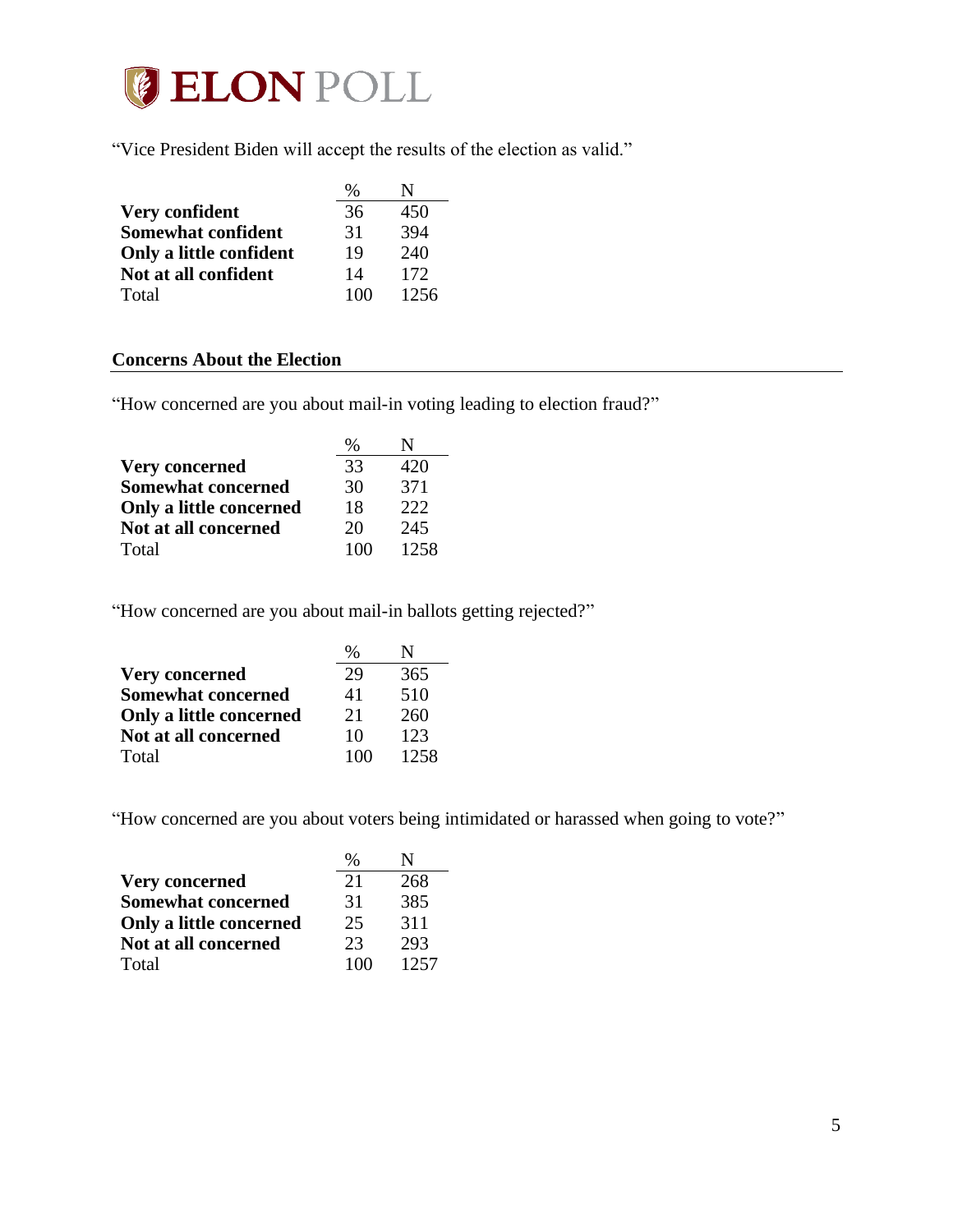

"Vice President Biden will accept the results of the election as valid."

|                           | $\%$ |      |
|---------------------------|------|------|
| Very confident            | 36   | 450  |
| <b>Somewhat confident</b> | 31   | 394  |
| Only a little confident   | 19   | 240  |
| Not at all confident      | 14   | 172  |
| Total                     | 100  | 1256 |

## <span id="page-4-0"></span>**Concerns About the Election**

"How concerned are you about mail-in voting leading to election fraud?"

|                           | ℅   |      |
|---------------------------|-----|------|
| <b>Very concerned</b>     | 33  | 420  |
| <b>Somewhat concerned</b> | 30  | 371  |
| Only a little concerned   | 18  | 222  |
| Not at all concerned      | 20  | 245  |
| Total                     | 100 | 1258 |

"How concerned are you about mail-in ballots getting rejected?"

|                           | $\%$ |      |
|---------------------------|------|------|
| <b>Very concerned</b>     | 29   | 365  |
| <b>Somewhat concerned</b> | 41   | 510  |
| Only a little concerned   | 21   | 260  |
| Not at all concerned      | 10   | 123  |
| Total                     | 100  | 1258 |

"How concerned are you about voters being intimidated or harassed when going to vote?"

|                           | $\%$ |      |
|---------------------------|------|------|
| <b>Very concerned</b>     | 21   | 268  |
| <b>Somewhat concerned</b> | 31   | 385  |
| Only a little concerned   | 25   | 311  |
| Not at all concerned      | 23   | 293  |
| Total                     | 100  | 1257 |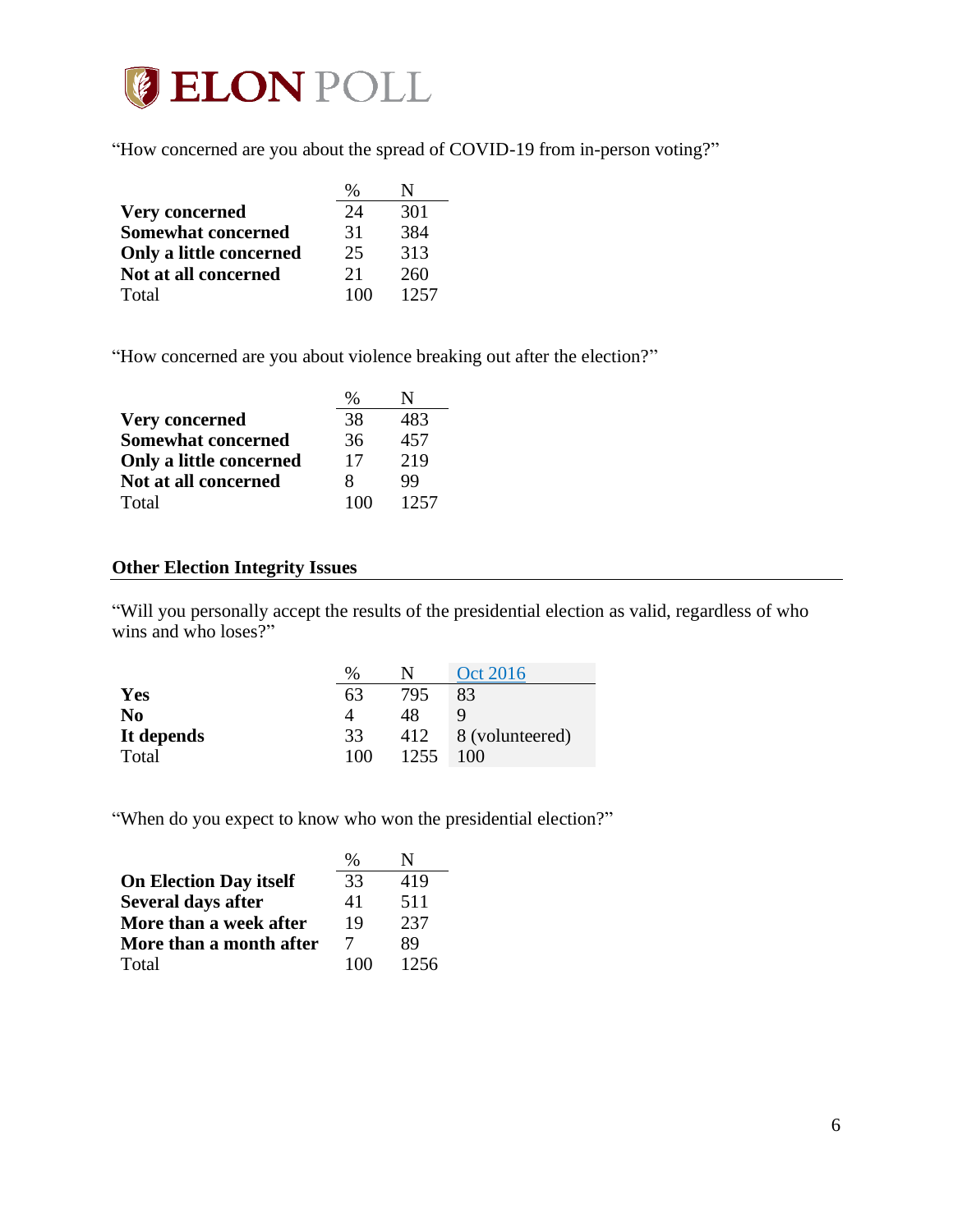

"How concerned are you about the spread of COVID-19 from in-person voting?"

|                           | $\frac{0}{0}$ |      |
|---------------------------|---------------|------|
| <b>Very concerned</b>     | 24            | 301  |
| <b>Somewhat concerned</b> | 31            | 384  |
| Only a little concerned   | 25            | 313  |
| Not at all concerned      | 21            | 260  |
| Total                     | 100           | 1257 |

"How concerned are you about violence breaking out after the election?"

|                           | %   | N    |
|---------------------------|-----|------|
| <b>Very concerned</b>     | 38  | 483  |
| <b>Somewhat concerned</b> | 36  | 457  |
| Only a little concerned   | 17  | 219  |
| Not at all concerned      | 8   | 99   |
| Total                     | 100 | 1257 |

### <span id="page-5-0"></span>**Other Election Integrity Issues**

"Will you personally accept the results of the presidential election as valid, regardless of who wins and who loses?"

|            | %   | N    | Oct 2016        |
|------------|-----|------|-----------------|
| Yes        | 63  | 795  | 83              |
| No         |     | 48   |                 |
| It depends | 33  | 412  | 8 (volunteered) |
| Total      | 100 | 1255 | 100             |

"When do you expect to know who won the presidential election?"

|                               | $\%$ |      |
|-------------------------------|------|------|
| <b>On Election Day itself</b> | 33   | 419  |
| <b>Several days after</b>     | 41   | 511  |
| More than a week after        | 19   | 237  |
| More than a month after       | 7    | 89   |
| Total                         | 100  | 1256 |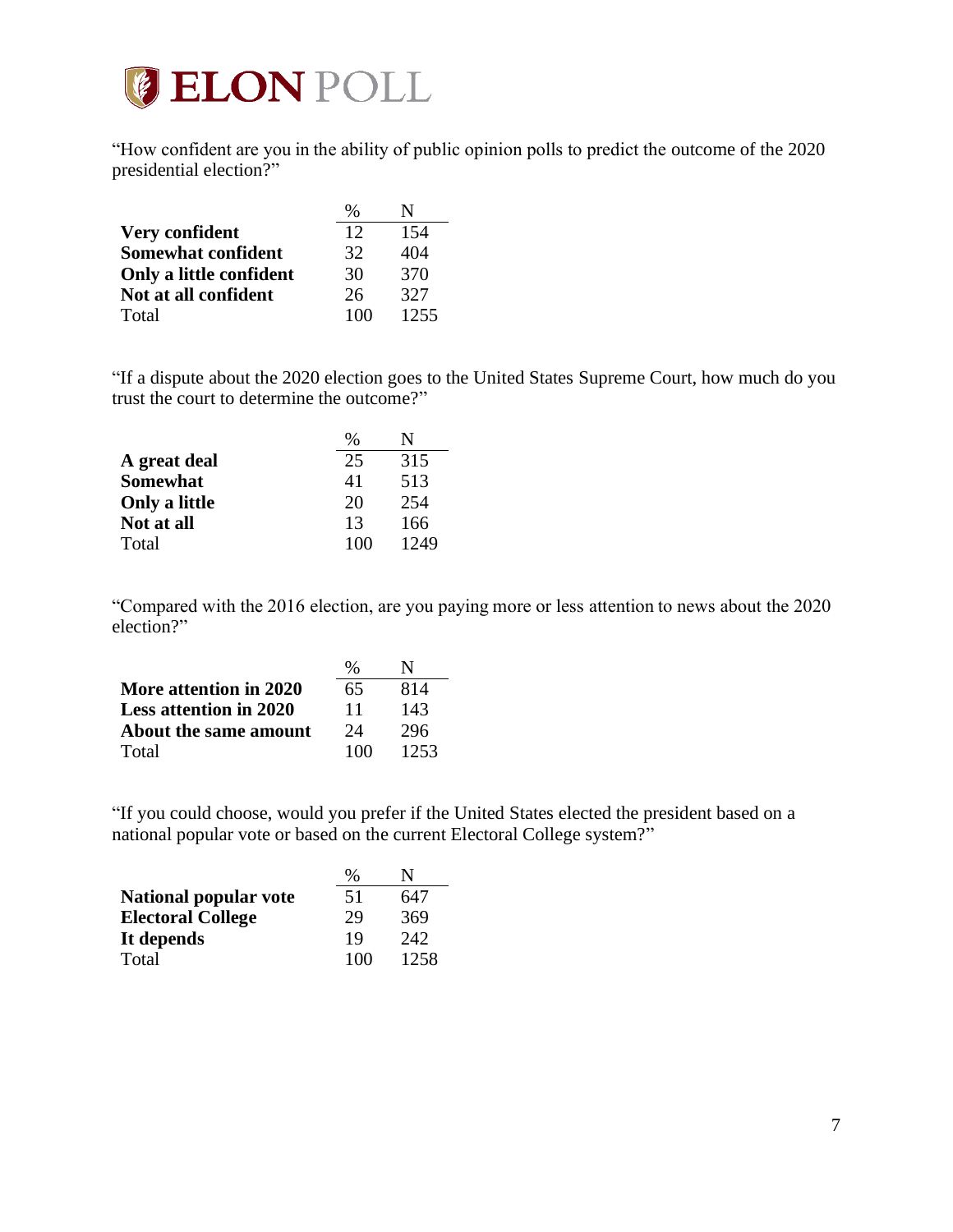

"How confident are you in the ability of public opinion polls to predict the outcome of the 2020 presidential election?"

|                           | %   |      |
|---------------------------|-----|------|
| Very confident            | 12  | 154  |
| <b>Somewhat confident</b> | 32  | 404  |
| Only a little confident   | 30  | 370  |
| Not at all confident      | 26  | 327  |
| Total                     | 100 | 1255 |

"If a dispute about the 2020 election goes to the United States Supreme Court, how much do you trust the court to determine the outcome?"

|                 | %   |      |
|-----------------|-----|------|
| A great deal    | 25  | 315  |
| <b>Somewhat</b> | 41  | 513  |
| Only a little   | 20  | 254  |
| Not at all      | 13  | 166  |
| Total           | 100 | 1249 |

"Compared with the 2016 election, are you paying more or less attention to news about the 2020 election?"

|                               | %   | N    |
|-------------------------------|-----|------|
| More attention in 2020        | 65  | 814  |
| <b>Less attention in 2020</b> | 11  | 143  |
| About the same amount         | 24  | 296  |
| Total                         | 100 | 1253 |

"If you could choose, would you prefer if the United States elected the president based on a national popular vote or based on the current Electoral College system?"

|                              | $\%$ |      |
|------------------------------|------|------|
| <b>National popular vote</b> | 51   | 647  |
| <b>Electoral College</b>     | 29   | 369  |
| It depends                   | 19   | 242  |
| Total                        | 100  | 1258 |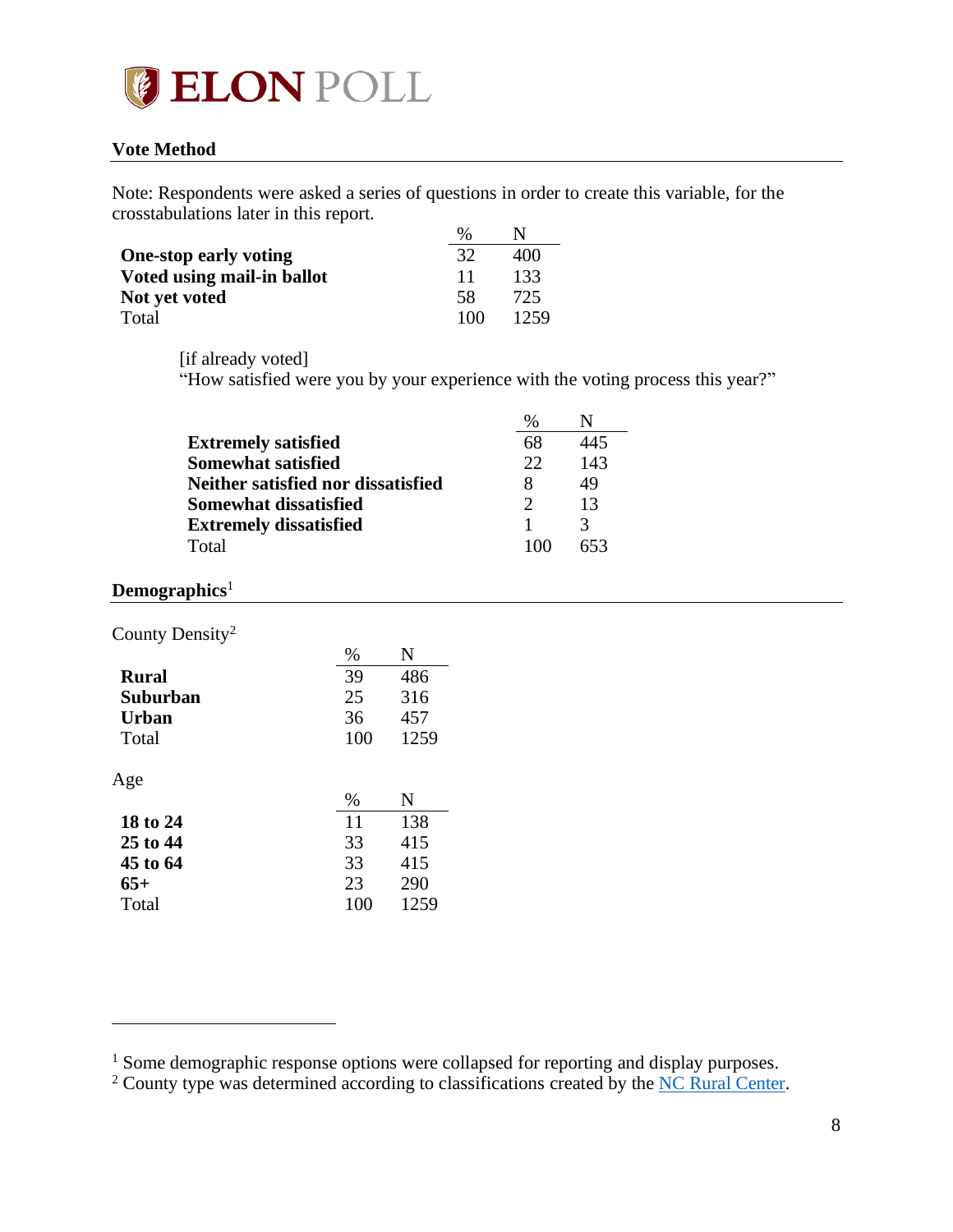

### <span id="page-7-0"></span>**Vote Method**

Note: Respondents were asked a series of questions in order to create this variable, for the crosstabulations later in this report.

|                              | $\%$ |      |
|------------------------------|------|------|
| <b>One-stop early voting</b> | 32   | 400  |
| Voted using mail-in ballot   | 11   | 133  |
| Not yet voted                | 58   | 725  |
| Total                        | 100  | 1259 |

[if already voted]

"How satisfied were you by your experience with the voting process this year?"

|                                    | %  |     |
|------------------------------------|----|-----|
| <b>Extremely satisfied</b>         | 68 | 445 |
| <b>Somewhat satisfied</b>          | 22 | 143 |
| Neither satisfied nor dissatisfied |    | 49  |
| Somewhat dissatisfied              |    | 13  |
| <b>Extremely dissatisfied</b>      |    |     |
| Total                              |    | 653 |

## <span id="page-7-1"></span>**Demographics**<sup>1</sup>

County Density<sup>2</sup>

| %   | N    |
|-----|------|
| 39  | 486  |
| 25  | 316  |
| 36  | 457  |
| 100 | 1259 |
|     |      |
|     |      |
| %   | N    |
| 11  | 138  |
| 33  | 415  |
| 33  | 415  |
| 23  | 290  |
|     |      |

<sup>&</sup>lt;sup>1</sup> Some demographic response options were collapsed for reporting and display purposes.

<sup>&</sup>lt;sup>2</sup> County type was determined according to classifications created by the [NC Rural Center.](https://www.ncruralcenter.org/wp-content/uploads/2018/01/Rural-Map-2018-1.png)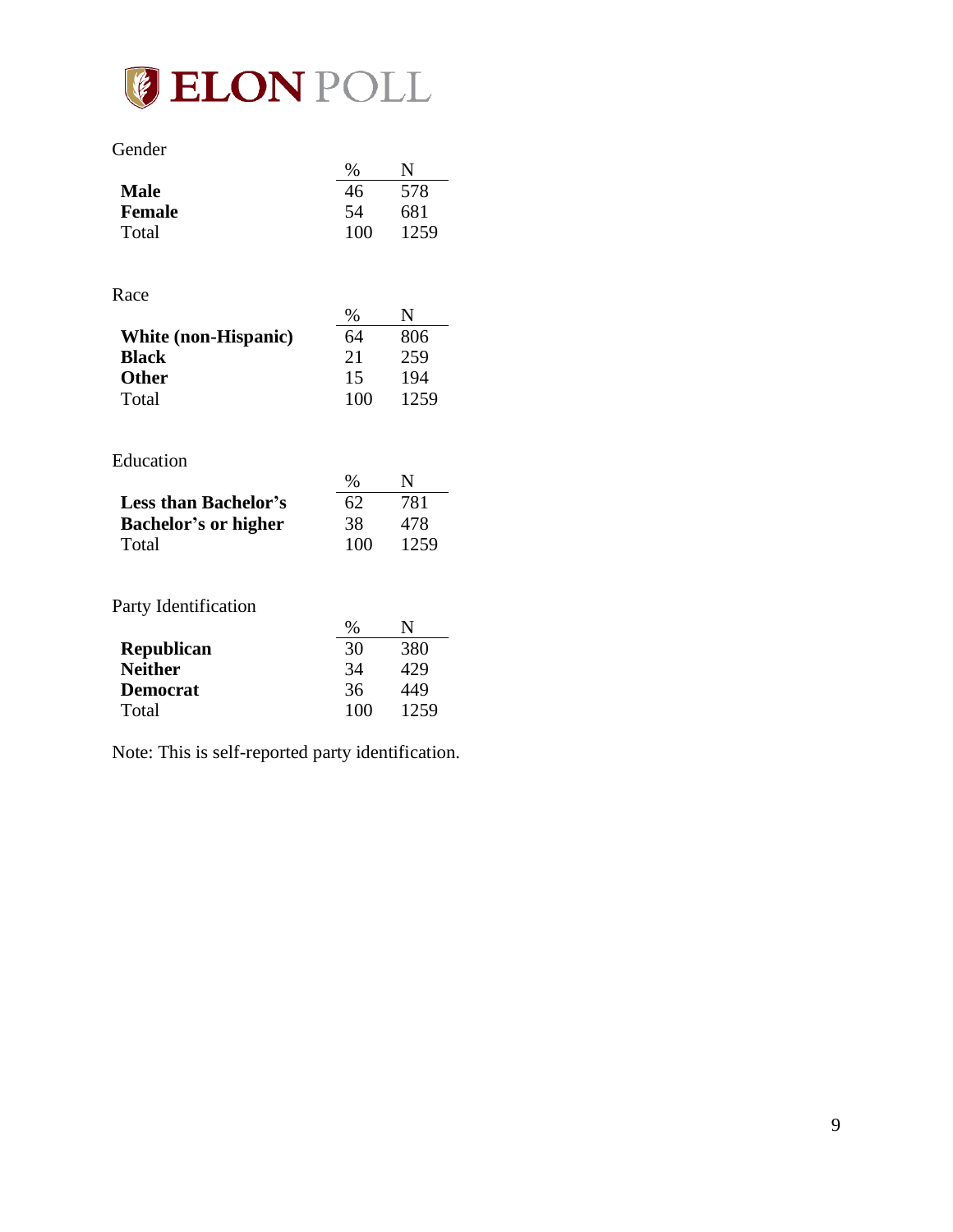

| uender |
|--------|
|--------|

|                                      | $\%$ | N           |
|--------------------------------------|------|-------------|
| <b>Male</b>                          | 46   | 578         |
| <b>Female</b>                        | 54   | 681         |
| Total                                | 100  | 1259        |
|                                      |      |             |
|                                      |      |             |
| Race                                 |      |             |
|                                      | $\%$ | N           |
| White (non-Hispanic)                 | 64   | 806         |
| <b>Black</b>                         | 21   | 259         |
| <b>Other</b>                         | 15   | 194         |
| Total                                | 100  | 1259        |
|                                      |      |             |
|                                      |      |             |
|                                      |      |             |
| Education                            |      |             |
|                                      | $\%$ | $\mathbf N$ |
| <b>Less than Bachelor's</b>          | 62   | 781         |
|                                      | 38   | 478         |
| <b>Bachelor's or higher</b><br>Total | 100  | 1259        |
|                                      |      |             |
|                                      |      |             |
| Party Identification                 |      |             |
|                                      | $\%$ | N           |
|                                      | 30   | 380         |
| <b>Republican</b><br><b>Neither</b>  | 34   | 429         |
| <b>Democrat</b>                      | 36   | 449         |
| Total                                | 100  | 1259        |

Note: This is self-reported party identification.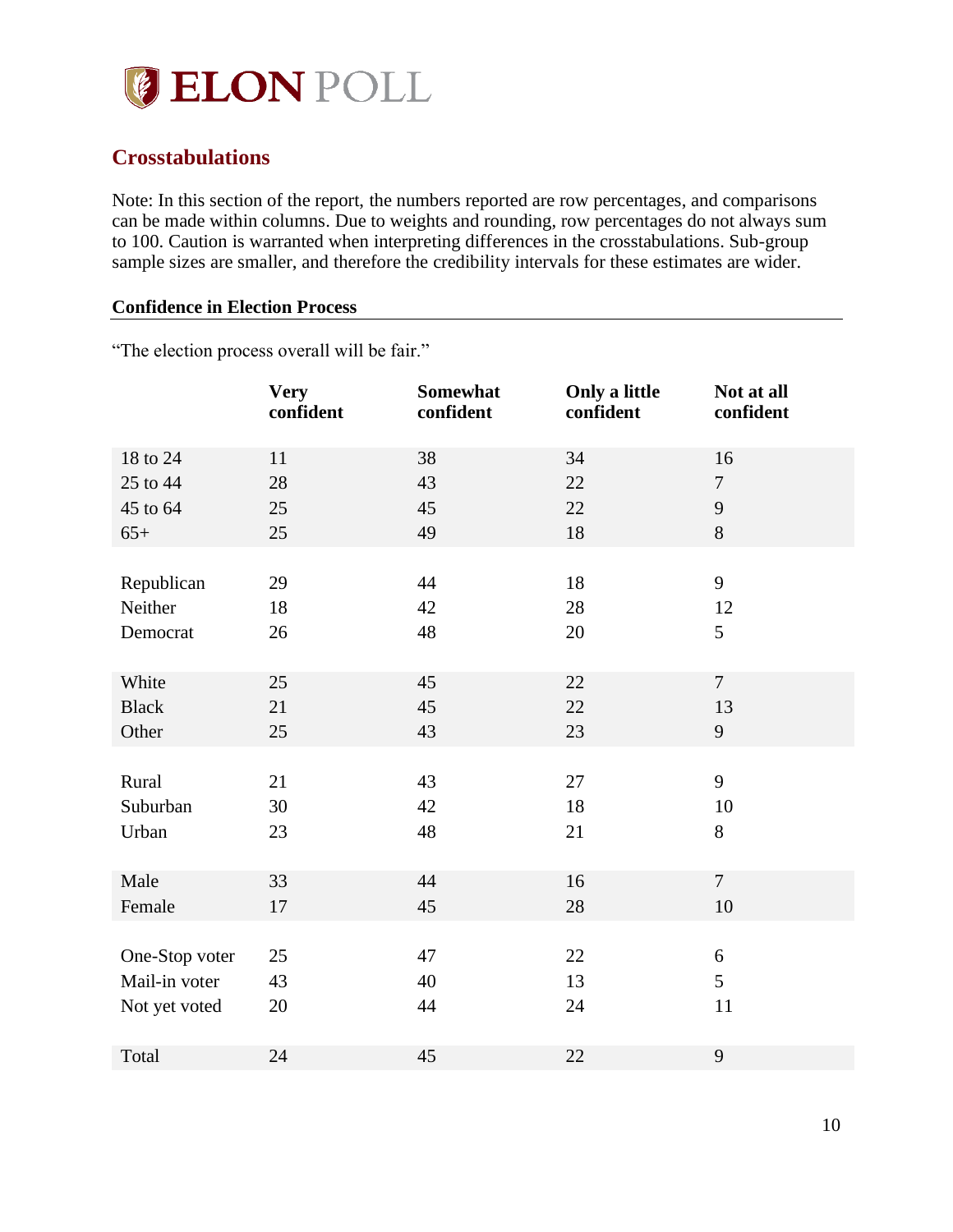

## <span id="page-9-0"></span>**Crosstabulations**

Note: In this section of the report, the numbers reported are row percentages, and comparisons can be made within columns. Due to weights and rounding, row percentages do not always sum to 100. Caution is warranted when interpreting differences in the crosstabulations. Sub-group sample sizes are smaller, and therefore the credibility intervals for these estimates are wider.

#### <span id="page-9-1"></span>**Confidence in Election Process**

"The election process overall will be fair."

|                | <b>Very</b><br>confident | Somewhat<br>confident | Only a little<br>confident | Not at all<br>confident |
|----------------|--------------------------|-----------------------|----------------------------|-------------------------|
| 18 to 24       | 11                       | 38                    | 34                         | 16                      |
| 25 to 44       | 28                       | 43                    | 22                         | $\overline{7}$          |
| 45 to 64       | 25                       | 45                    | 22                         | 9                       |
| $65+$          | 25                       | 49                    | 18                         | 8                       |
|                |                          |                       |                            |                         |
| Republican     | 29                       | 44                    | 18                         | 9                       |
| Neither        | 18                       | 42                    | 28                         | 12                      |
| Democrat       | 26                       | 48                    | 20                         | $5\overline{)}$         |
|                |                          |                       |                            |                         |
| White          | 25                       | 45                    | 22                         | $7\phantom{.0}$         |
| <b>Black</b>   | 21                       | 45                    | 22                         | 13                      |
| Other          | 25                       | 43                    | 23                         | 9                       |
|                |                          |                       |                            |                         |
| Rural          | 21                       | 43                    | 27                         | 9                       |
| Suburban       | 30                       | 42                    | 18                         | 10                      |
| Urban          | 23                       | 48                    | 21                         | 8                       |
|                |                          |                       |                            |                         |
| Male           | 33                       | 44                    | 16                         | $\overline{7}$          |
| Female         | 17                       | 45                    | 28                         | 10                      |
|                |                          |                       |                            |                         |
| One-Stop voter | 25                       | 47                    | 22                         | $\boldsymbol{6}$        |
| Mail-in voter  | 43                       | 40                    | 13                         | 5                       |
| Not yet voted  | 20                       | 44                    | 24                         | 11                      |
|                |                          |                       |                            |                         |
| Total          | 24                       | 45                    | 22                         | 9                       |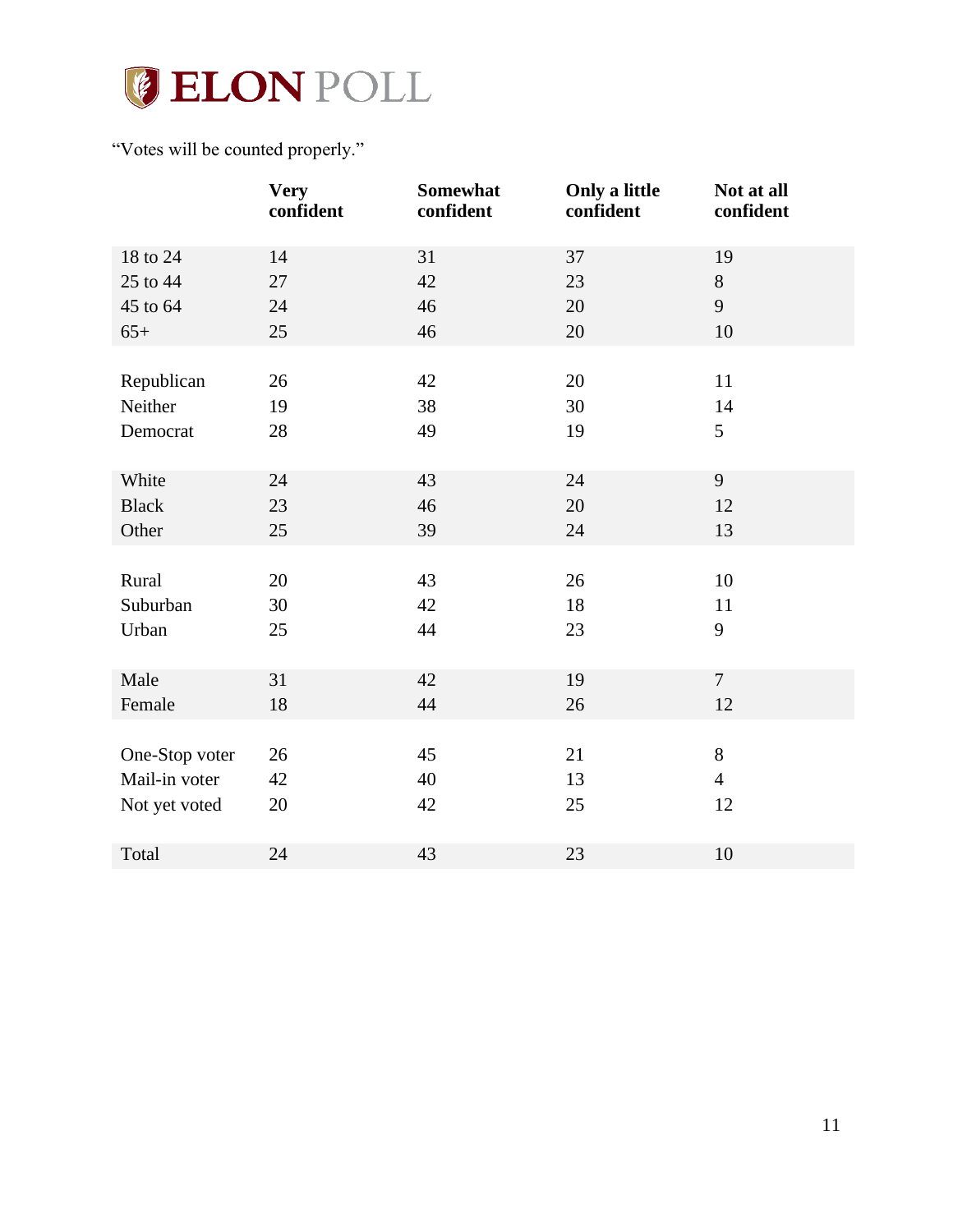

## "Votes will be counted properly."

|                | <b>Very</b><br>confident | Somewhat<br>confident | Only a little<br>confident | Not at all<br>confident |
|----------------|--------------------------|-----------------------|----------------------------|-------------------------|
| 18 to 24       | 14                       | 31                    | 37                         | 19                      |
| 25 to 44       | 27                       | 42                    | 23                         | $8\,$                   |
| 45 to 64       | 24                       | 46                    | 20                         | 9                       |
| $65+$          | 25                       | 46                    | 20                         | 10                      |
|                |                          |                       |                            |                         |
| Republican     | 26                       | 42                    | 20                         | 11                      |
| Neither        | 19                       | 38                    | 30                         | 14                      |
| Democrat       | 28                       | 49                    | 19                         | 5                       |
|                |                          |                       |                            |                         |
| White          | 24                       | 43                    | 24                         | 9                       |
| <b>Black</b>   | 23                       | 46                    | 20                         | 12                      |
| Other          | 25                       | 39                    | 24                         | 13                      |
|                |                          |                       |                            |                         |
| Rural          | 20                       | 43                    | 26                         | 10                      |
| Suburban       | 30                       | 42                    | 18                         | 11                      |
| Urban          | 25                       | 44                    | 23                         | 9                       |
|                |                          |                       |                            |                         |
| Male           | 31                       | 42                    | 19                         | $\overline{7}$          |
| Female         | 18                       | 44                    | 26                         | 12                      |
|                |                          |                       |                            |                         |
| One-Stop voter | 26                       | 45                    | 21                         | 8                       |
| Mail-in voter  | 42                       | 40                    | 13                         | $\overline{4}$          |
| Not yet voted  | 20                       | 42                    | 25                         | 12                      |
|                |                          |                       |                            |                         |
| Total          | 24                       | 43                    | 23                         | 10                      |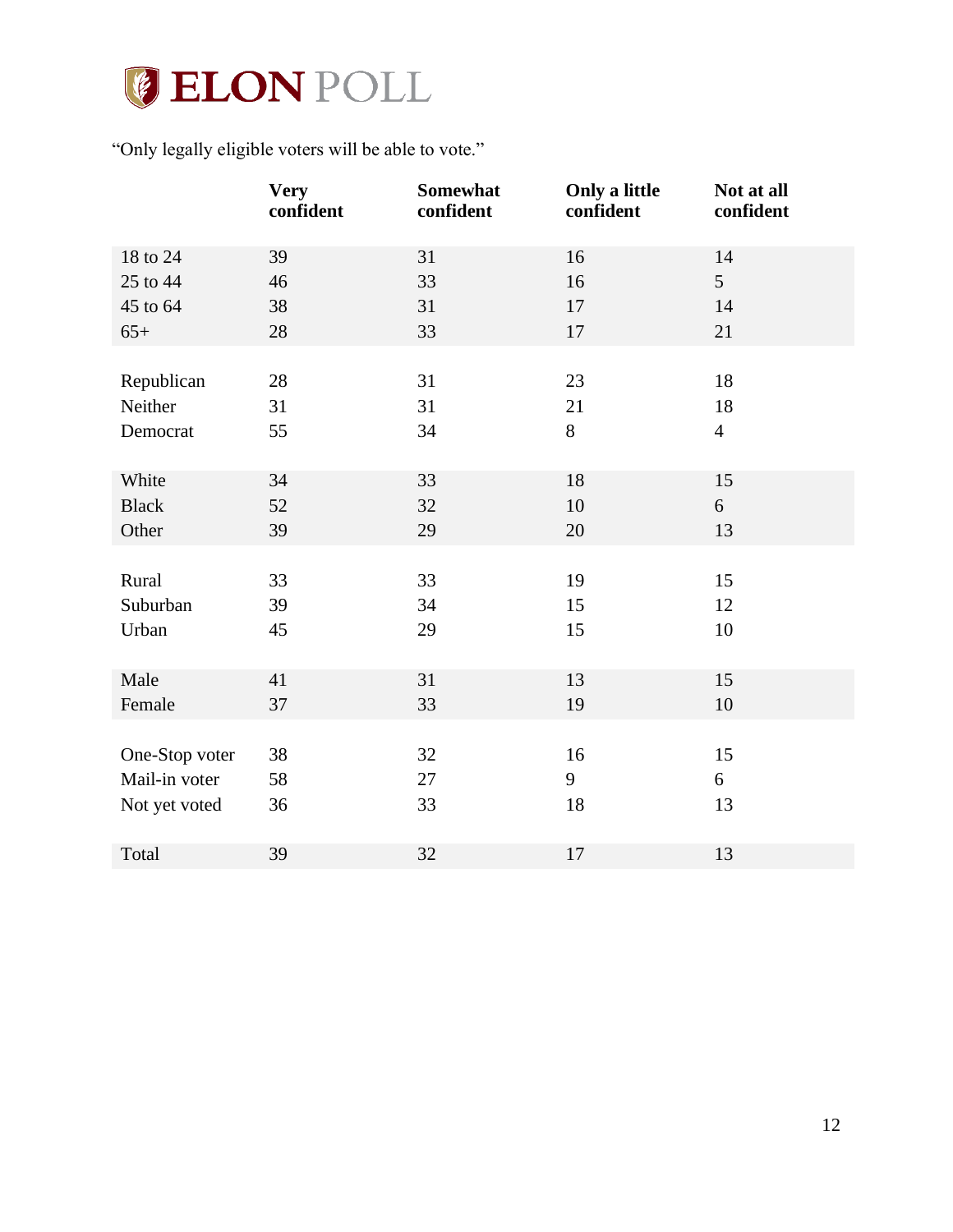

"Only legally eligible voters will be able to vote."

|                | <b>Very</b><br>confident | Somewhat<br>confident | Only a little<br>confident | Not at all<br>confident |
|----------------|--------------------------|-----------------------|----------------------------|-------------------------|
| 18 to 24       | 39                       | 31                    | 16                         | 14                      |
| 25 to 44       | 46                       | 33                    | 16                         | 5                       |
| 45 to 64       | 38                       | 31                    | 17                         | 14                      |
| $65+$          | 28                       | 33                    | 17                         | 21                      |
|                |                          |                       |                            |                         |
| Republican     | 28                       | 31                    | 23                         | 18                      |
| Neither        | 31                       | 31                    | 21                         | 18                      |
| Democrat       | 55                       | 34                    | $8\,$                      | $\overline{4}$          |
|                |                          |                       |                            |                         |
| White          | 34                       | 33                    | 18                         | 15                      |
| <b>Black</b>   | 52                       | 32                    | 10                         | 6                       |
| Other          | 39                       | 29                    | 20                         | 13                      |
|                |                          |                       |                            |                         |
| Rural          | 33                       | 33                    | 19                         | 15                      |
| Suburban       | 39                       | 34                    | 15                         | 12                      |
| Urban          | 45                       | 29                    | 15                         | 10                      |
|                |                          |                       |                            |                         |
| Male           | 41                       | 31                    | 13                         | 15                      |
| Female         | 37                       | 33                    | 19                         | 10                      |
|                |                          |                       |                            |                         |
| One-Stop voter | 38                       | 32                    | 16                         | 15                      |
| Mail-in voter  | 58                       | 27                    | 9                          | 6                       |
| Not yet voted  | 36                       | 33                    | 18                         | 13                      |
|                |                          |                       |                            |                         |
| Total          | 39                       | 32                    | 17                         | 13                      |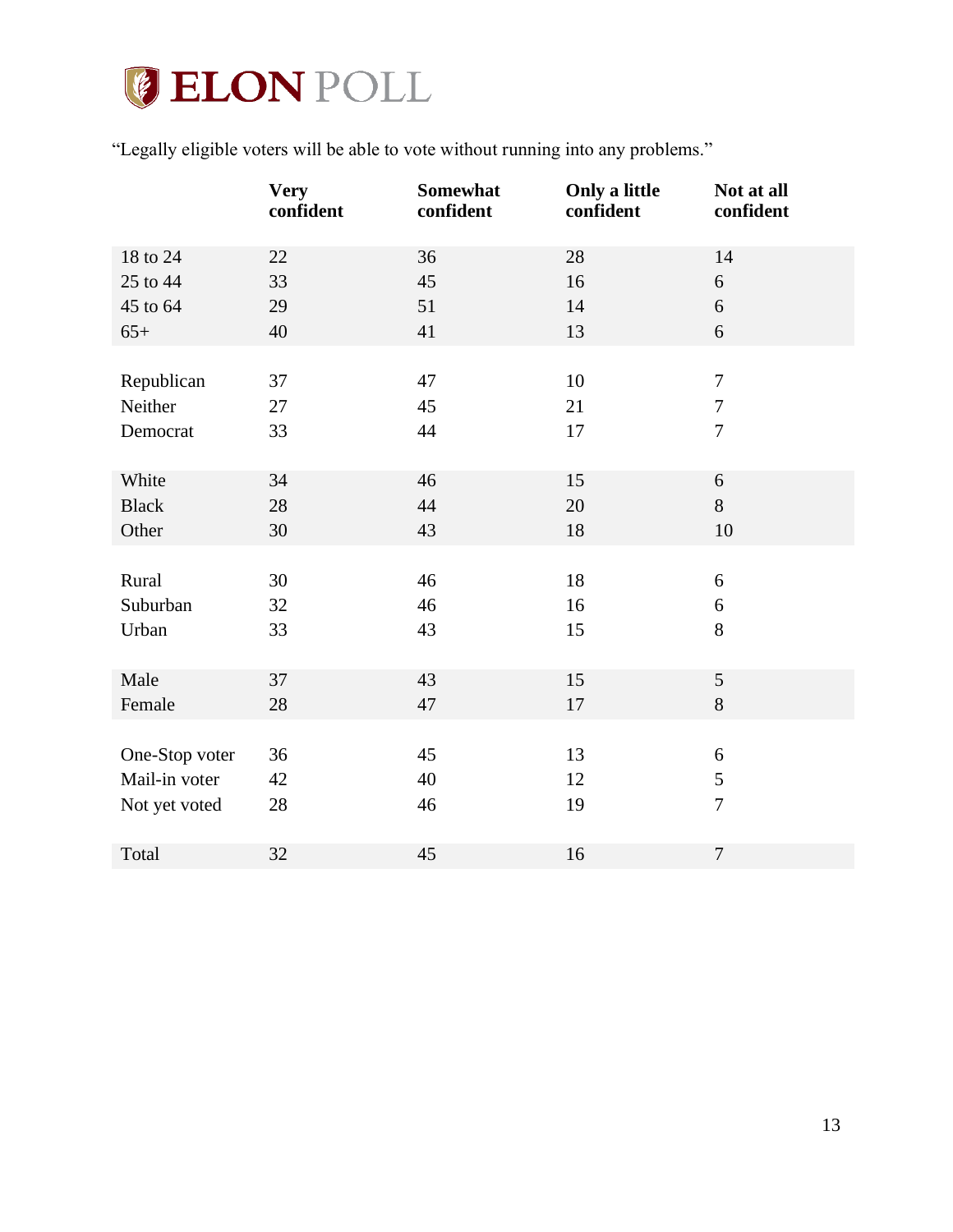# **JELON POLL**

"Legally eligible voters will be able to vote without running into any problems."

|                | <b>Very</b><br>confident | Somewhat<br>confident | Only a little<br>confident | Not at all<br>confident |
|----------------|--------------------------|-----------------------|----------------------------|-------------------------|
| 18 to 24       | 22                       | 36                    | 28                         | 14                      |
| 25 to 44       | 33                       | 45                    | 16                         | $\boldsymbol{6}$        |
| 45 to 64       | 29                       | 51                    | 14                         | 6                       |
| $65+$          | 40                       | 41                    | 13                         | 6                       |
|                |                          |                       |                            |                         |
| Republican     | 37                       | 47                    | 10                         | $\overline{7}$          |
| Neither        | 27                       | 45                    | 21                         | $\tau$                  |
| Democrat       | 33                       | 44                    | 17                         | $\overline{7}$          |
|                |                          |                       |                            |                         |
| White          | 34                       | 46                    | 15                         | 6                       |
| <b>Black</b>   | 28                       | 44                    | 20                         | 8                       |
| Other          | 30                       | 43                    | 18                         | 10                      |
|                |                          |                       |                            |                         |
| Rural          | 30                       | 46                    | 18                         | 6                       |
| Suburban       | 32                       | 46                    | 16                         | 6                       |
| Urban          | 33                       | 43                    | 15                         | 8                       |
|                |                          |                       |                            |                         |
| Male           | 37                       | 43                    | 15                         | 5                       |
| Female         | 28                       | 47                    | 17                         | 8                       |
|                |                          |                       |                            |                         |
| One-Stop voter | 36                       | 45                    | 13                         | 6                       |
| Mail-in voter  | 42                       | 40                    | 12                         | 5                       |
| Not yet voted  | 28                       | 46                    | 19                         | $\overline{7}$          |
|                |                          |                       |                            |                         |
| Total          | 32                       | 45                    | 16                         | $\overline{7}$          |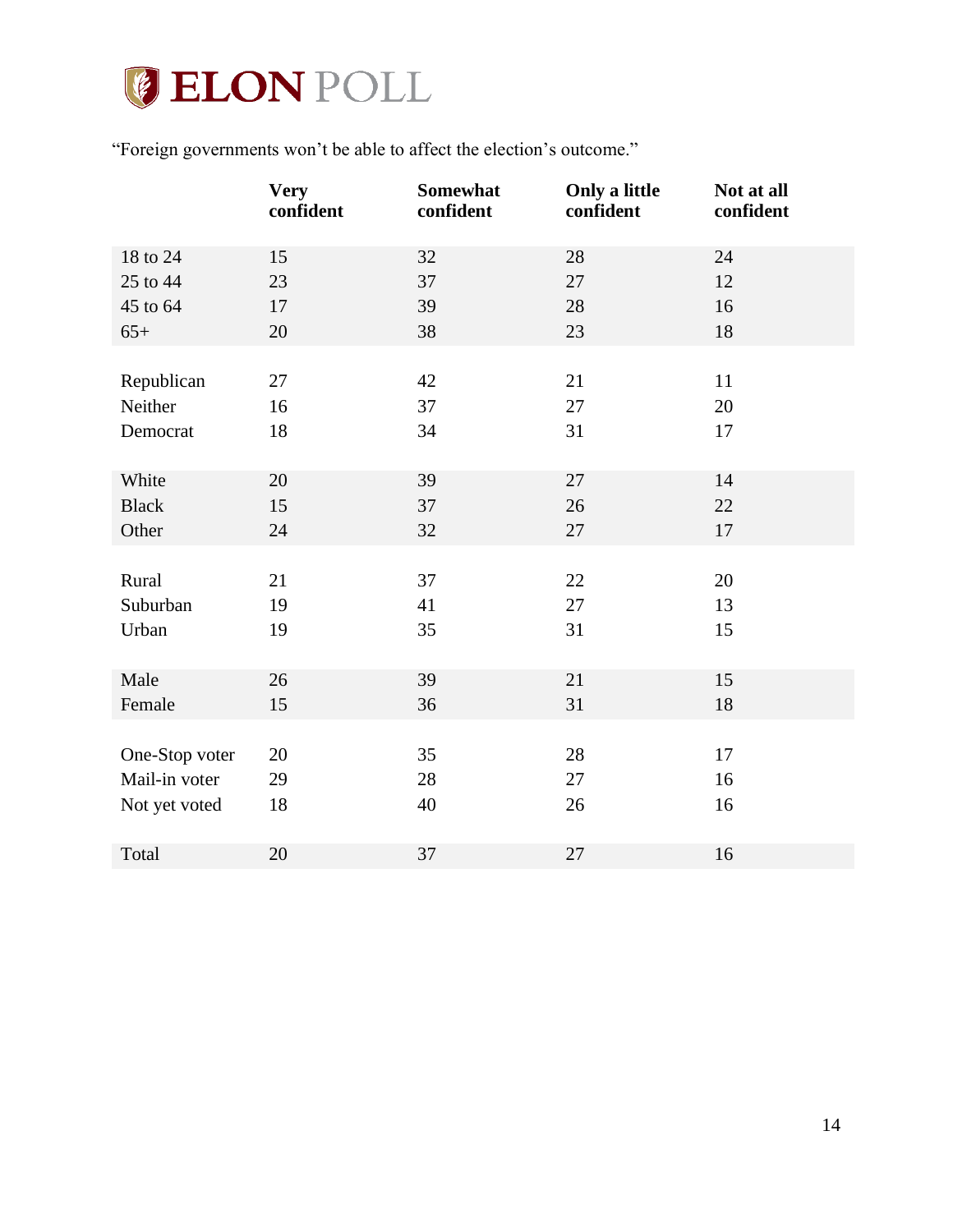

"Foreign governments won't be able to affect the election's outcome."

|                | <b>Very</b><br>confident | Somewhat<br>confident | Only a little<br>confident | Not at all<br>confident |
|----------------|--------------------------|-----------------------|----------------------------|-------------------------|
| 18 to 24       | 15                       | 32                    | 28                         | 24                      |
| 25 to 44       | 23                       | 37                    | 27                         | 12                      |
| 45 to 64       | 17                       | 39                    | 28                         | 16                      |
| $65+$          | 20                       | 38                    | 23                         | $18\,$                  |
|                |                          |                       |                            |                         |
| Republican     | 27                       | 42                    | 21                         | 11                      |
| Neither        | 16                       | 37                    | 27                         | 20                      |
| Democrat       | 18                       | 34                    | 31                         | 17                      |
|                |                          |                       |                            |                         |
| White          | 20                       | 39                    | 27                         | 14                      |
| <b>Black</b>   | 15                       | 37                    | 26                         | 22                      |
| Other          | 24                       | 32                    | 27                         | 17                      |
|                |                          |                       |                            |                         |
| Rural          | 21                       | 37                    | 22                         | 20                      |
| Suburban       | 19                       | 41                    | 27                         | 13                      |
| Urban          | 19                       | 35                    | 31                         | 15                      |
|                |                          |                       |                            |                         |
| Male           | 26                       | 39                    | 21                         | 15                      |
| Female         | 15                       | 36                    | 31                         | 18                      |
|                |                          |                       |                            |                         |
| One-Stop voter | 20                       | 35                    | 28                         | 17                      |
| Mail-in voter  | 29                       | 28                    | 27                         | 16                      |
| Not yet voted  | 18                       | 40                    | 26                         | 16                      |
|                |                          |                       |                            |                         |
| Total          | 20                       | 37                    | 27                         | 16                      |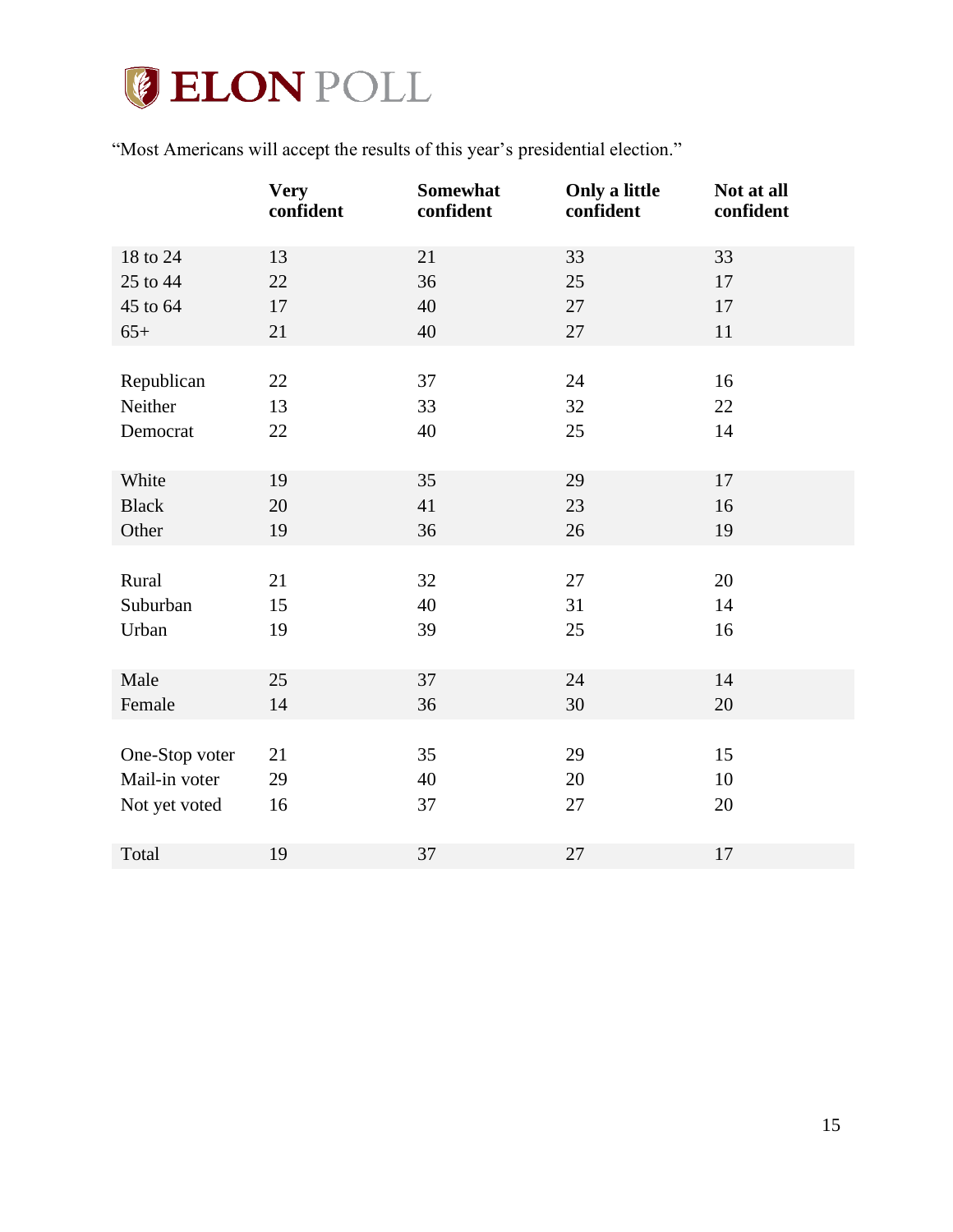

"Most Americans will accept the results of this year's presidential election."

|                | <b>Very</b><br>confident | <b>Somewhat</b><br>confident | Only a little<br>confident | Not at all<br>confident |
|----------------|--------------------------|------------------------------|----------------------------|-------------------------|
| 18 to 24       | 13                       | 21                           | 33                         | 33                      |
| 25 to 44       | 22                       | 36                           | 25                         | 17                      |
| 45 to 64       | 17                       | 40                           | 27                         | 17                      |
| $65+$          | 21                       | 40                           | 27                         | 11                      |
|                |                          |                              |                            |                         |
| Republican     | 22                       | 37                           | 24                         | 16                      |
| Neither        | 13                       | 33                           | 32                         | 22                      |
| Democrat       | 22                       | 40                           | 25                         | 14                      |
|                |                          |                              |                            |                         |
| White          | 19                       | 35                           | 29                         | 17                      |
| <b>Black</b>   | 20                       | 41                           | 23                         | 16                      |
| Other          | 19                       | 36                           | 26                         | 19                      |
|                |                          |                              |                            |                         |
| Rural          | 21                       | 32                           | 27                         | 20                      |
| Suburban       | 15                       | 40                           | 31                         | 14                      |
| Urban          | 19                       | 39                           | 25                         | 16                      |
|                |                          |                              |                            |                         |
| Male           | 25                       | 37                           | 24                         | 14                      |
| Female         | 14                       | 36                           | 30                         | 20                      |
|                |                          |                              |                            |                         |
| One-Stop voter | 21                       | 35                           | 29                         | 15                      |
| Mail-in voter  | 29                       | 40                           | 20                         | 10                      |
| Not yet voted  | 16                       | 37                           | 27                         | 20                      |
|                |                          |                              |                            |                         |
| Total          | 19                       | 37                           | 27                         | 17                      |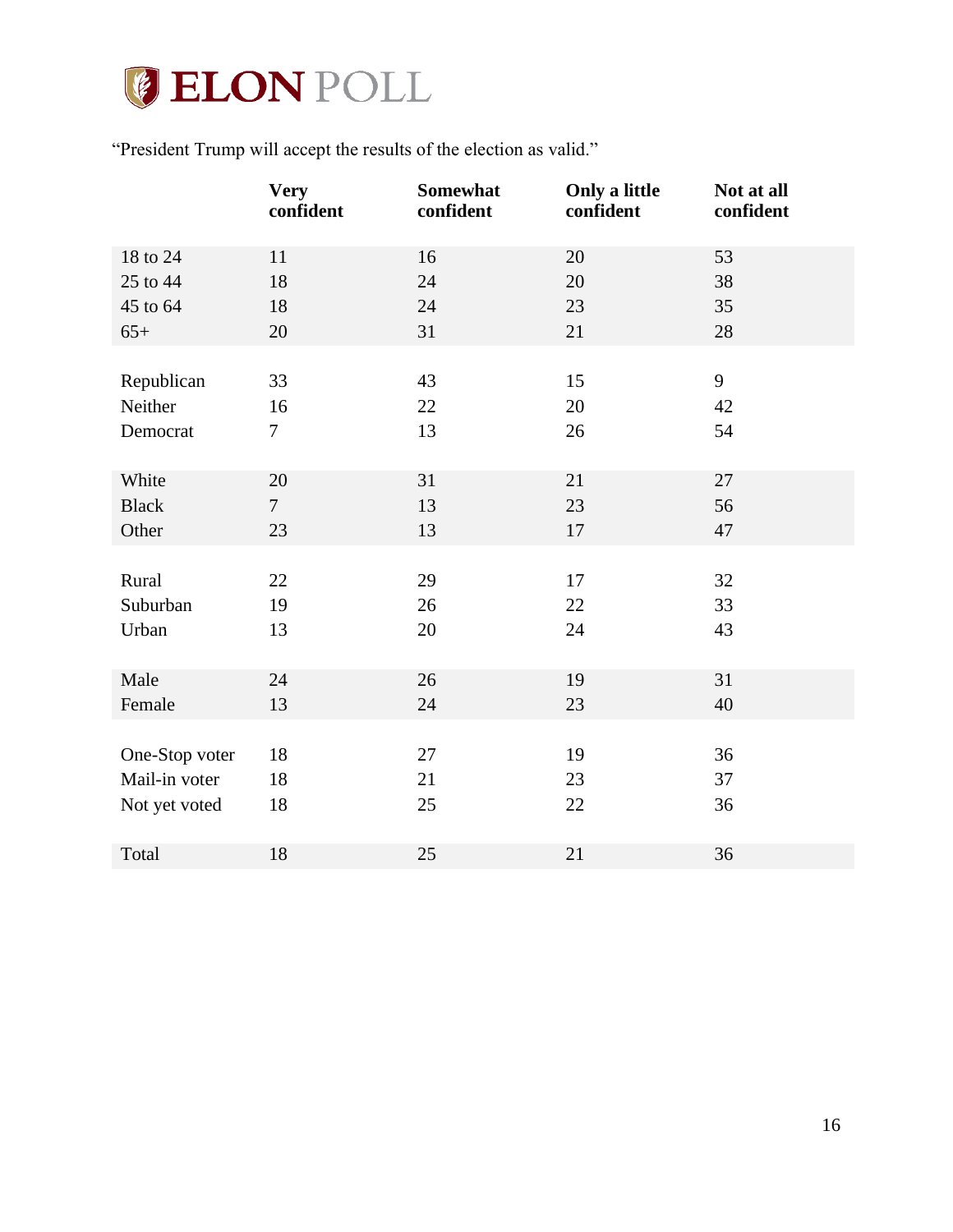

"President Trump will accept the results of the election as valid."

|                | <b>Very</b><br>confident | Somewhat<br>confident | Only a little<br>confident | Not at all<br>confident |
|----------------|--------------------------|-----------------------|----------------------------|-------------------------|
| 18 to 24       | 11                       | 16                    | 20                         | 53                      |
| 25 to 44       | 18                       | 24                    | 20                         | 38                      |
| 45 to 64       | 18                       | 24                    | 23                         | 35                      |
| $65+$          | 20                       | 31                    | 21                         | 28                      |
|                |                          |                       |                            |                         |
| Republican     | 33                       | 43                    | 15                         | 9                       |
| Neither        | 16                       | 22                    | 20                         | 42                      |
| Democrat       | $\tau$                   | 13                    | 26                         | 54                      |
|                |                          |                       |                            |                         |
| White          | 20                       | 31                    | 21                         | 27                      |
| <b>Black</b>   | $\overline{7}$           | 13                    | 23                         | 56                      |
| Other          | 23                       | 13                    | 17                         | 47                      |
|                |                          |                       |                            |                         |
| Rural          | 22                       | 29                    | 17                         | 32                      |
| Suburban       | 19                       | 26                    | 22                         | 33                      |
| Urban          | 13                       | 20                    | 24                         | 43                      |
|                |                          |                       |                            |                         |
| Male           | 24                       | 26                    | 19                         | 31                      |
| Female         | 13                       | 24                    | 23                         | 40                      |
|                |                          |                       |                            |                         |
| One-Stop voter | 18                       | 27                    | 19                         | 36                      |
| Mail-in voter  | 18                       | 21                    | 23                         | 37                      |
| Not yet voted  | 18                       | 25                    | 22                         | 36                      |
|                |                          |                       |                            |                         |
| Total          | 18                       | 25                    | 21                         | 36                      |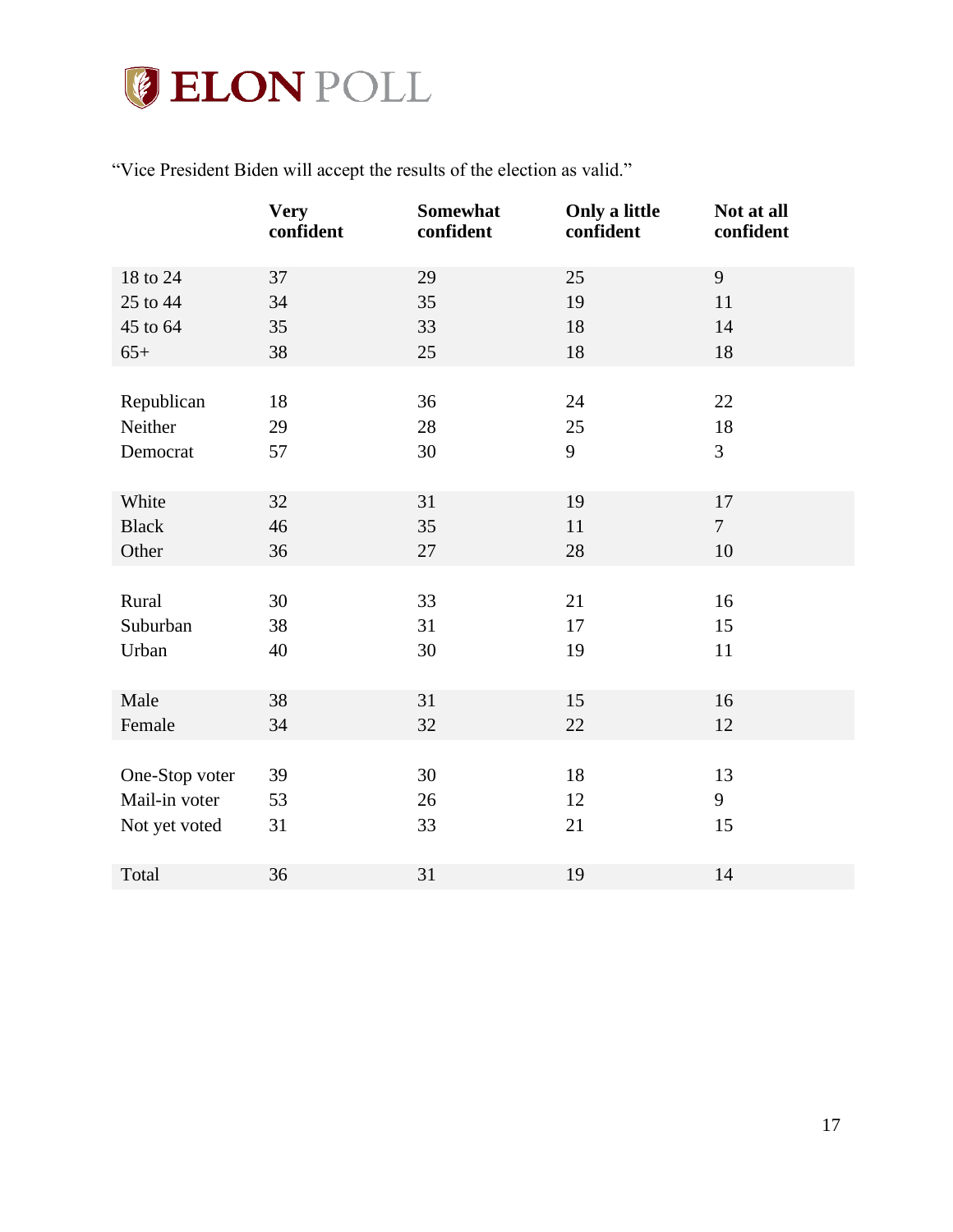

"Vice President Biden will accept the results of the election as valid."

|                | <b>Very</b><br>confident | Somewhat<br>confident | Only a little<br>confident | Not at all<br>confident |
|----------------|--------------------------|-----------------------|----------------------------|-------------------------|
| 18 to 24       | 37                       | 29                    | 25                         | 9                       |
| 25 to 44       | 34                       | 35                    | 19                         | 11                      |
| 45 to 64       | 35                       | 33                    | 18                         | 14                      |
| $65+$          | 38                       | 25                    | 18                         | 18                      |
|                |                          |                       |                            |                         |
| Republican     | 18                       | 36                    | 24                         | 22                      |
| Neither        | 29                       | 28                    | 25                         | 18                      |
| Democrat       | 57                       | 30                    | 9                          | 3                       |
|                |                          |                       |                            |                         |
| White          | 32                       | 31                    | 19                         | 17                      |
| <b>Black</b>   | 46                       | 35                    | 11                         | $\overline{7}$          |
| Other          | 36                       | 27                    | 28                         | 10                      |
|                |                          |                       |                            |                         |
| Rural          | 30                       | 33                    | 21                         | 16                      |
| Suburban       | 38                       | 31                    | 17                         | 15                      |
| Urban          | 40                       | 30                    | 19                         | 11                      |
|                |                          |                       |                            |                         |
| Male           | 38                       | 31                    | 15                         | 16                      |
| Female         | 34                       | 32                    | 22                         | 12                      |
|                |                          |                       |                            |                         |
| One-Stop voter | 39                       | 30                    | 18                         | 13                      |
| Mail-in voter  | 53                       | 26                    | 12                         | 9                       |
| Not yet voted  | 31                       | 33                    | 21                         | 15                      |
|                |                          |                       |                            |                         |
| Total          | 36                       | 31                    | 19                         | 14                      |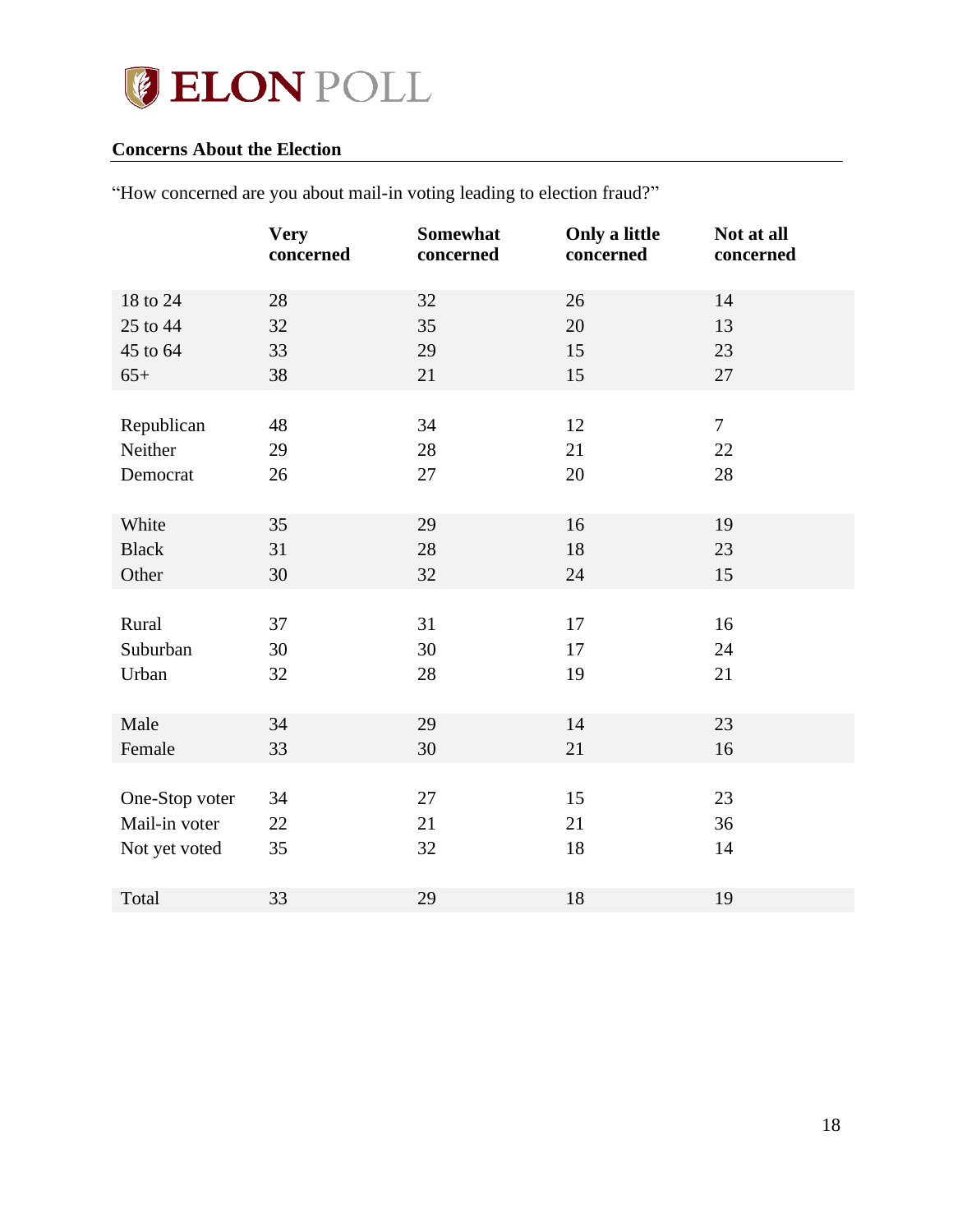# **JELON POLL**

## <span id="page-17-0"></span>**Concerns About the Election**

|                | <b>Very</b><br>concerned | Somewhat<br>concerned | Only a little<br>concerned | Not at all<br>concerned |
|----------------|--------------------------|-----------------------|----------------------------|-------------------------|
| 18 to 24       | 28                       | 32                    | 26                         | 14                      |
| 25 to 44       | 32                       | 35                    | 20                         | 13                      |
| 45 to 64       | 33                       | 29                    | 15                         | 23                      |
| $65+$          | 38                       | 21                    | 15                         | 27                      |
|                |                          |                       |                            |                         |
| Republican     | 48                       | 34                    | 12                         | $\overline{7}$          |
| Neither        | 29                       | 28                    | 21                         | 22                      |
| Democrat       | 26                       | 27                    | 20                         | 28                      |
|                |                          |                       |                            |                         |
| White          | 35                       | 29                    | 16                         | 19                      |
| <b>Black</b>   | 31                       | 28                    | 18                         | 23                      |
| Other          | 30                       | 32                    | 24                         | 15                      |
|                |                          |                       |                            |                         |
| Rural          | 37                       | 31                    | 17                         | 16                      |
| Suburban       | 30                       | 30                    | 17                         | 24                      |
| Urban          | 32                       | 28                    | 19                         | 21                      |
|                |                          |                       |                            |                         |
| Male           | 34                       | 29                    | 14                         | 23                      |
| Female         | 33                       | 30                    | 21                         | 16                      |
|                |                          |                       |                            |                         |
| One-Stop voter | 34                       | 27                    | 15                         | 23                      |
| Mail-in voter  | 22                       | 21                    | 21                         | 36                      |
| Not yet voted  | 35                       | 32                    | 18                         | 14                      |
|                |                          |                       |                            |                         |
| Total          | 33                       | 29                    | 18                         | 19                      |

"How concerned are you about mail-in voting leading to election fraud?"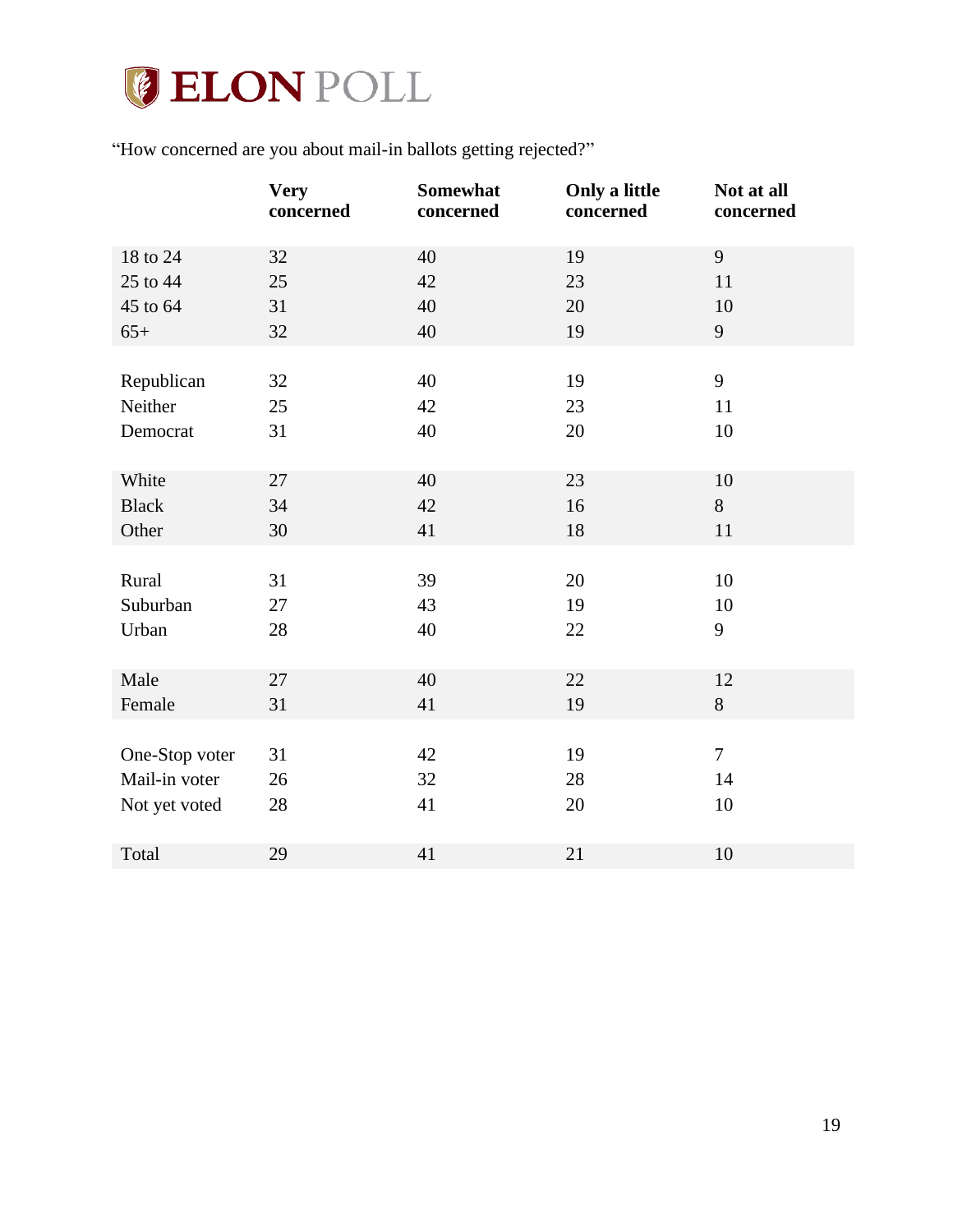

"How concerned are you about mail-in ballots getting rejected?"

|                | <b>Very</b><br>concerned | Somewhat<br>concerned | Only a little<br>concerned | Not at all<br>concerned |
|----------------|--------------------------|-----------------------|----------------------------|-------------------------|
| 18 to 24       | 32                       | 40                    | 19                         | 9                       |
| 25 to 44       | 25                       | 42                    | 23                         | 11                      |
| 45 to 64       | 31                       | 40                    | 20                         | 10                      |
| $65+$          | 32                       | 40                    | 19                         | 9                       |
|                |                          |                       |                            |                         |
| Republican     | 32                       | 40                    | 19                         | 9                       |
| Neither        | 25                       | 42                    | 23                         | 11                      |
| Democrat       | 31                       | 40                    | 20                         | 10                      |
|                |                          |                       |                            |                         |
| White          | 27                       | 40                    | 23                         | 10                      |
| <b>Black</b>   | 34                       | 42                    | 16                         | 8                       |
| Other          | 30                       | 41                    | 18                         | 11                      |
|                |                          |                       |                            |                         |
| Rural          | 31                       | 39                    | 20                         | 10                      |
| Suburban       | 27                       | 43                    | 19                         | 10                      |
| Urban          | 28                       | 40                    | 22                         | 9                       |
|                |                          |                       |                            |                         |
| Male           | 27                       | 40                    | 22                         | 12                      |
| Female         | 31                       | 41                    | 19                         | 8                       |
|                |                          |                       |                            |                         |
| One-Stop voter | 31                       | 42                    | 19                         | $\overline{7}$          |
| Mail-in voter  | 26                       | 32                    | 28                         | 14                      |
| Not yet voted  | 28                       | 41                    | 20                         | 10                      |
|                |                          |                       |                            |                         |
| Total          | 29                       | 41                    | 21                         | 10                      |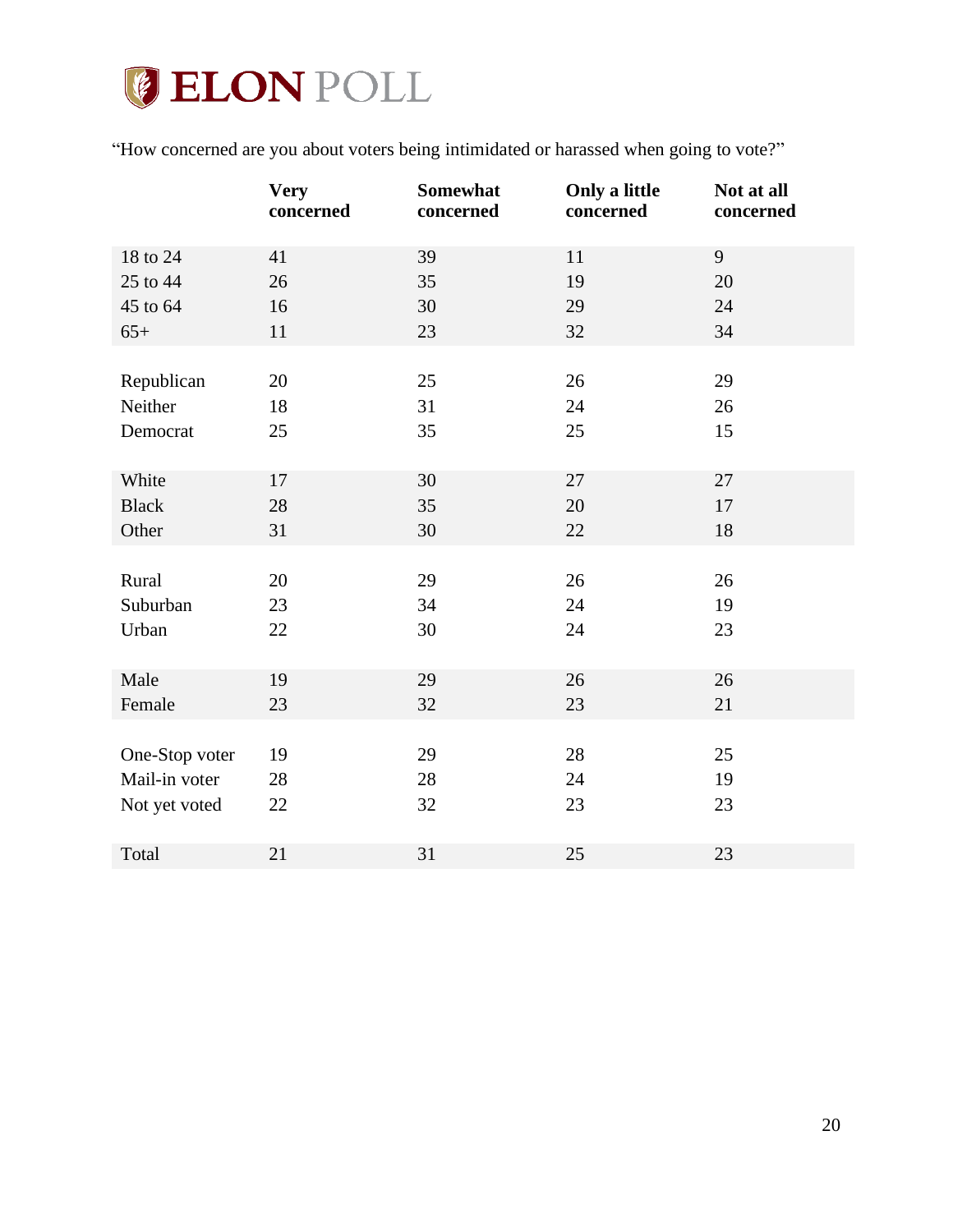# **GELON POLL**

"How concerned are you about voters being intimidated or harassed when going to vote?"

|                | <b>Very</b><br>concerned | Somewhat<br>concerned | Only a little<br>concerned | Not at all<br>concerned |
|----------------|--------------------------|-----------------------|----------------------------|-------------------------|
| 18 to 24       | 41                       | 39                    | 11                         | 9                       |
| 25 to 44       | 26                       | 35                    | 19                         | 20                      |
| 45 to 64       | 16                       | 30                    | 29                         | 24                      |
| $65+$          | 11                       | 23                    | 32                         | 34                      |
|                |                          |                       |                            |                         |
| Republican     | 20                       | 25                    | 26                         | 29                      |
| Neither        | 18                       | 31                    | 24                         | 26                      |
| Democrat       | 25                       | 35                    | 25                         | 15                      |
|                |                          |                       |                            |                         |
| White          | 17                       | 30                    | 27                         | 27                      |
| <b>Black</b>   | 28                       | 35                    | 20                         | 17                      |
| Other          | 31                       | 30                    | 22                         | 18                      |
|                |                          |                       |                            |                         |
| Rural          | 20                       | 29                    | 26                         | 26                      |
| Suburban       | 23                       | 34                    | 24                         | 19                      |
| Urban          | 22                       | 30                    | 24                         | 23                      |
|                |                          |                       |                            |                         |
| Male           | 19                       | 29                    | 26                         | 26                      |
| Female         | 23                       | 32                    | 23                         | 21                      |
|                |                          |                       |                            |                         |
| One-Stop voter | 19                       | 29                    | 28                         | 25                      |
| Mail-in voter  | 28                       | 28                    | 24                         | 19                      |
| Not yet voted  | 22                       | 32                    | 23                         | 23                      |
|                |                          |                       |                            |                         |
| Total          | 21                       | 31                    | 25                         | 23                      |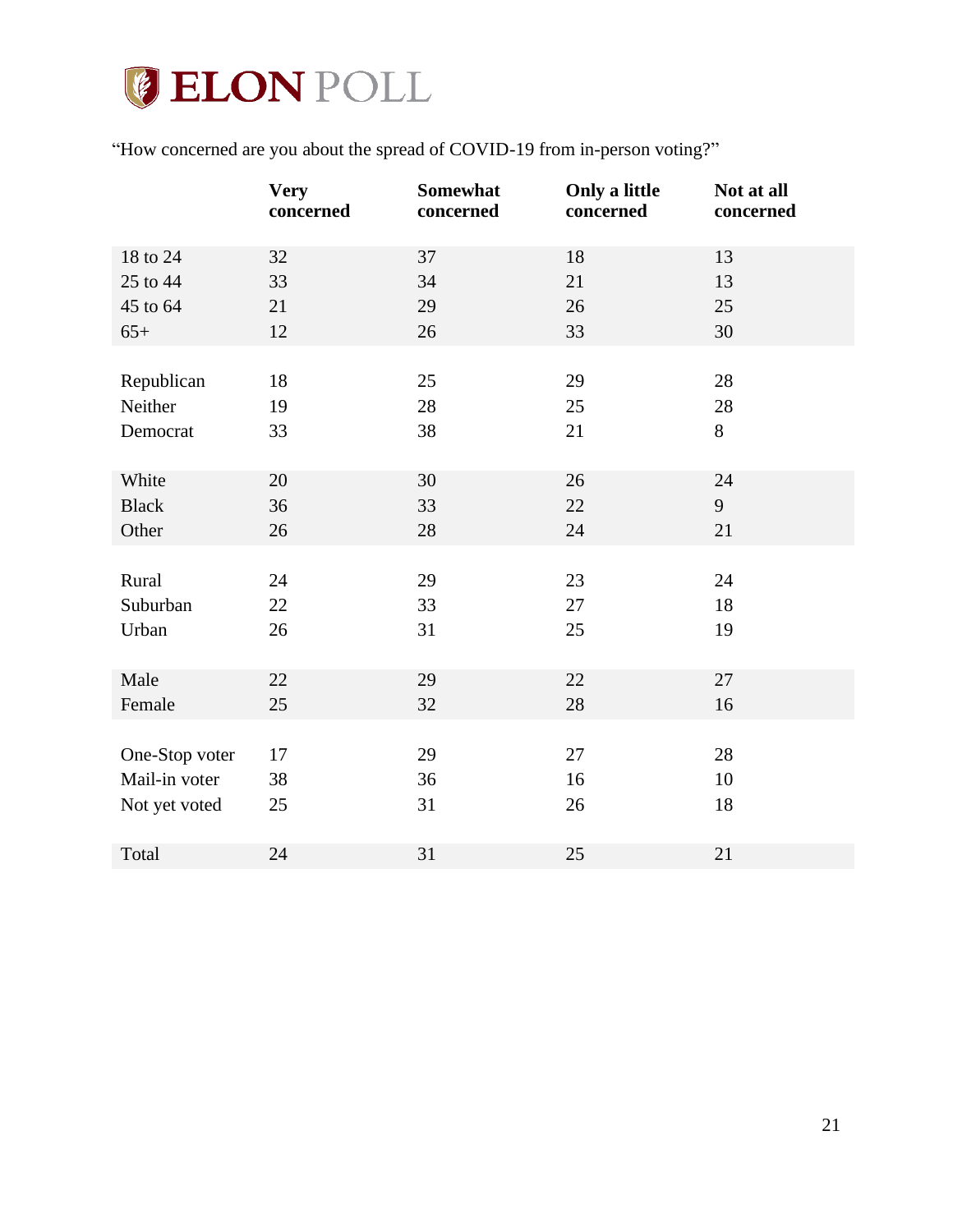

"How concerned are you about the spread of COVID-19 from in-person voting?"

|                | <b>Very</b><br>concerned | Somewhat<br>concerned | Only a little<br>concerned | Not at all<br>concerned |
|----------------|--------------------------|-----------------------|----------------------------|-------------------------|
| 18 to 24       | 32                       | 37                    | 18                         | 13                      |
| 25 to 44       | 33                       | 34                    | 21                         | 13                      |
| 45 to 64       | 21                       | 29                    | 26                         | 25                      |
| $65+$          | 12                       | 26                    | 33                         | 30                      |
|                |                          |                       |                            |                         |
| Republican     | 18                       | 25                    | 29                         | 28                      |
| Neither        | 19                       | 28                    | 25                         | 28                      |
| Democrat       | 33                       | 38                    | 21                         | 8                       |
|                |                          |                       |                            |                         |
| White          | 20                       | 30                    | 26                         | 24                      |
| <b>Black</b>   | 36                       | 33                    | 22                         | 9                       |
| Other          | 26                       | 28                    | 24                         | 21                      |
|                |                          |                       |                            |                         |
| Rural          | 24                       | 29                    | 23                         | 24                      |
| Suburban       | 22                       | 33                    | 27                         | 18                      |
| Urban          | 26                       | 31                    | 25                         | 19                      |
|                |                          |                       |                            |                         |
| Male           | 22                       | 29                    | 22                         | 27                      |
| Female         | 25                       | 32                    | 28                         | 16                      |
|                |                          |                       |                            |                         |
| One-Stop voter | 17                       | 29                    | 27                         | 28                      |
| Mail-in voter  | 38                       | 36                    | 16                         | 10                      |
| Not yet voted  | 25                       | 31                    | 26                         | 18                      |
| Total          | 24                       | 31                    | 25                         | 21                      |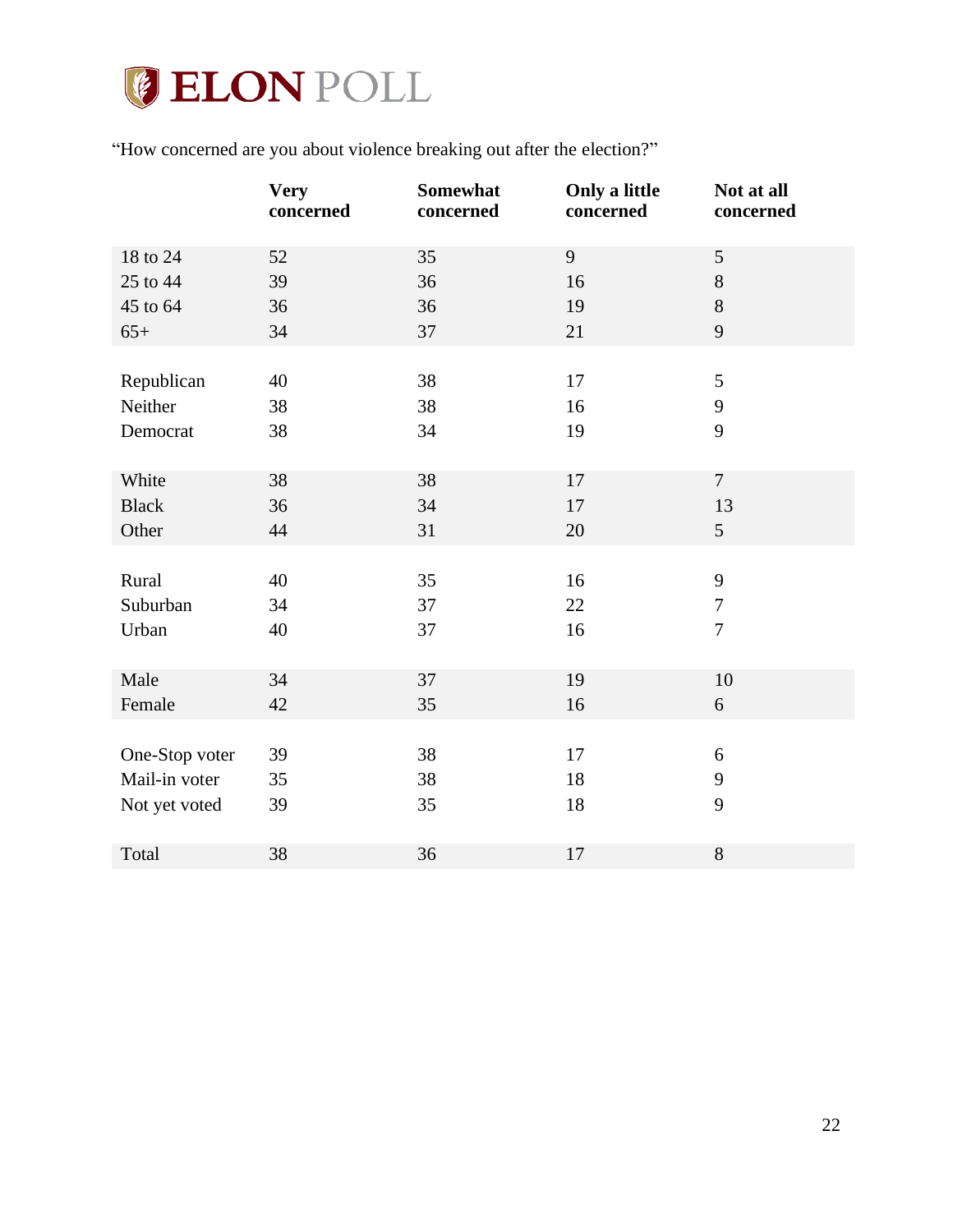

"How concerned are you about violence breaking out after the election?"

|                | <b>Very</b><br>concerned | Somewhat<br>concerned | Only a little<br>concerned | Not at all<br>concerned |
|----------------|--------------------------|-----------------------|----------------------------|-------------------------|
| 18 to 24       | 52                       | 35                    | 9                          | $\mathfrak s$           |
| 25 to 44       | 39                       | 36                    | 16                         | $8\,$                   |
| 45 to 64       | 36                       | 36                    | 19                         | $8\,$                   |
| $65+$          | 34                       | 37                    | 21                         | 9                       |
|                |                          |                       |                            |                         |
| Republican     | 40                       | 38                    | 17                         | 5                       |
| Neither        | 38                       | 38                    | 16                         | 9                       |
| Democrat       | 38                       | 34                    | 19                         | 9                       |
|                |                          |                       |                            |                         |
| White          | 38                       | 38                    | 17                         | $\overline{7}$          |
| <b>Black</b>   | 36                       | 34                    | 17                         | 13                      |
| Other          | 44                       | 31                    | 20                         | 5                       |
|                |                          |                       |                            |                         |
| Rural          | 40                       | 35                    | 16                         | 9                       |
| Suburban       | 34                       | 37                    | 22                         | $\boldsymbol{7}$        |
| Urban          | 40                       | 37                    | 16                         | $\overline{7}$          |
|                |                          |                       |                            |                         |
| Male           | 34                       | 37                    | 19                         | 10                      |
| Female         | 42                       | 35                    | 16                         | 6                       |
|                |                          |                       |                            |                         |
| One-Stop voter | 39                       | 38                    | 17                         | 6                       |
| Mail-in voter  | 35                       | 38                    | 18                         | 9                       |
| Not yet voted  | 39                       | 35                    | 18                         | 9                       |
|                |                          |                       |                            |                         |
| Total          | 38                       | 36                    | 17                         | $8\,$                   |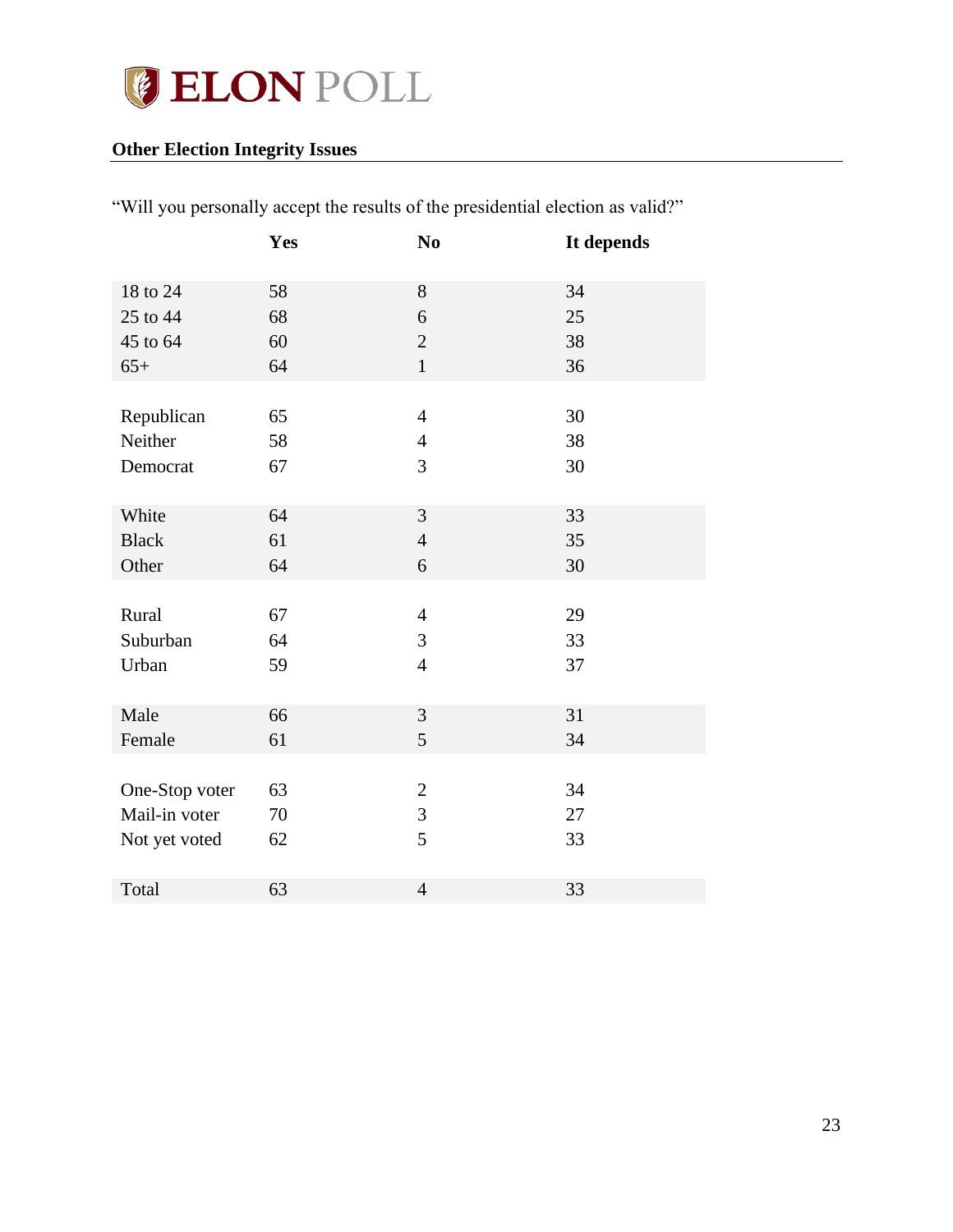

# <span id="page-22-0"></span>**Other Election Integrity Issues**

| "Will you personally accept the results of the presidential election as valid?" |
|---------------------------------------------------------------------------------|
|---------------------------------------------------------------------------------|

|                | Yes | N <sub>0</sub> | It depends |
|----------------|-----|----------------|------------|
| 18 to 24       | 58  | 8              | 34         |
| 25 to 44       | 68  | 6              | 25         |
| 45 to 64       | 60  | $\sqrt{2}$     | 38         |
| $65+$          | 64  | $\mathbf{1}$   | 36         |
|                |     |                |            |
| Republican     | 65  | $\overline{4}$ | 30         |
| Neither        | 58  | $\overline{4}$ | 38         |
| Democrat       | 67  | 3              | 30         |
|                |     |                |            |
| White          | 64  | 3              | 33         |
| <b>Black</b>   | 61  | $\overline{4}$ | 35         |
| Other          | 64  | 6              | 30         |
|                |     |                |            |
| Rural          | 67  | $\overline{4}$ | 29         |
| Suburban       | 64  | 3              | 33         |
| Urban          | 59  | $\overline{4}$ | 37         |
|                |     |                |            |
| Male           | 66  | $\mathfrak{Z}$ | 31         |
| Female         | 61  | 5              | 34         |
|                |     |                |            |
| One-Stop voter | 63  | $\sqrt{2}$     | 34         |
| Mail-in voter  | 70  | 3              | 27         |
| Not yet voted  | 62  | 5              | 33         |
|                |     |                |            |
| Total          | 63  | $\overline{4}$ | 33         |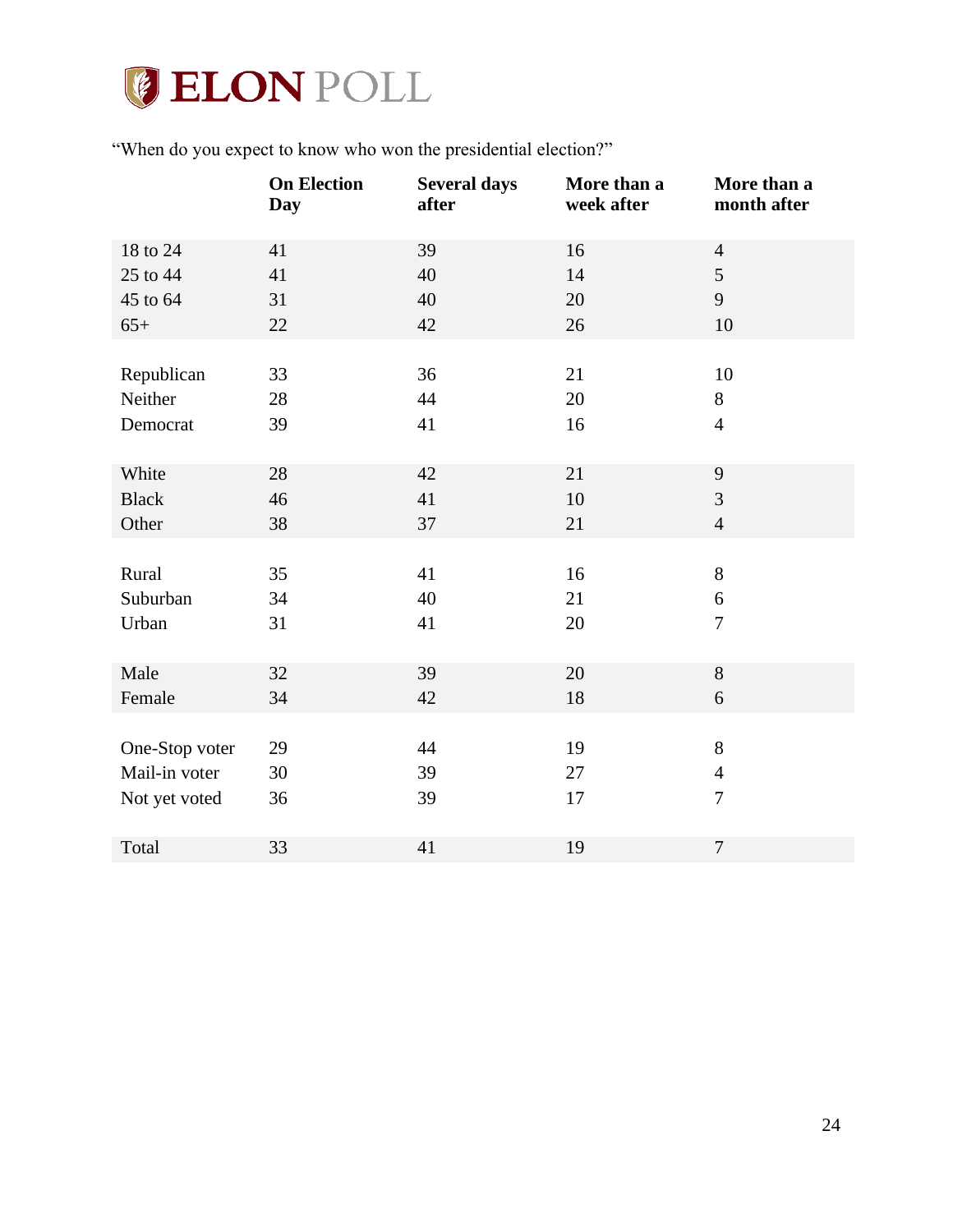

"When do you expect to know who won the presidential election?"

| <b>On Election</b><br><b>Several days</b><br>after<br><b>Day</b> | More than a<br>More than a<br>week after<br>month after |
|------------------------------------------------------------------|---------------------------------------------------------|
| 41<br>39<br>16<br>18 to 24                                       | $\overline{4}$                                          |
| 40<br>25 to 44<br>41<br>14                                       | 5                                                       |
| 45 to 64<br>31<br>40<br>20                                       | 9                                                       |
| 22<br>42<br>$65+$<br>26                                          | 10                                                      |
|                                                                  |                                                         |
| 36<br>Republican<br>33<br>21                                     | 10                                                      |
| Neither<br>44<br>28<br>20                                        | 8                                                       |
| 39<br>41<br>16<br>Democrat                                       | $\overline{4}$                                          |
|                                                                  |                                                         |
| 42<br>21<br>White<br>28                                          | 9                                                       |
| 41<br>10<br><b>Black</b><br>46                                   | $\mathfrak{Z}$                                          |
| Other<br>38<br>37<br>21                                          | $\overline{4}$                                          |
|                                                                  |                                                         |
| 35<br>41<br>Rural<br>16                                          | $8\,$                                                   |
| Suburban<br>40<br>34<br>21                                       | 6                                                       |
| 31<br>41<br>Urban<br>20                                          | $\overline{7}$                                          |
|                                                                  |                                                         |
| 39<br>Male<br>32<br>20                                           | $8\,$                                                   |
| 42<br>Female<br>18<br>34                                         | 6                                                       |
|                                                                  |                                                         |
| 29<br>44<br>19<br>One-Stop voter                                 | $8\,$                                                   |
| Mail-in voter<br>30<br>39<br>27                                  | $\overline{4}$                                          |
| 39<br>17<br>Not yet voted<br>36                                  | $\overline{7}$                                          |
| Total<br>33<br>41<br>19                                          | $\tau$                                                  |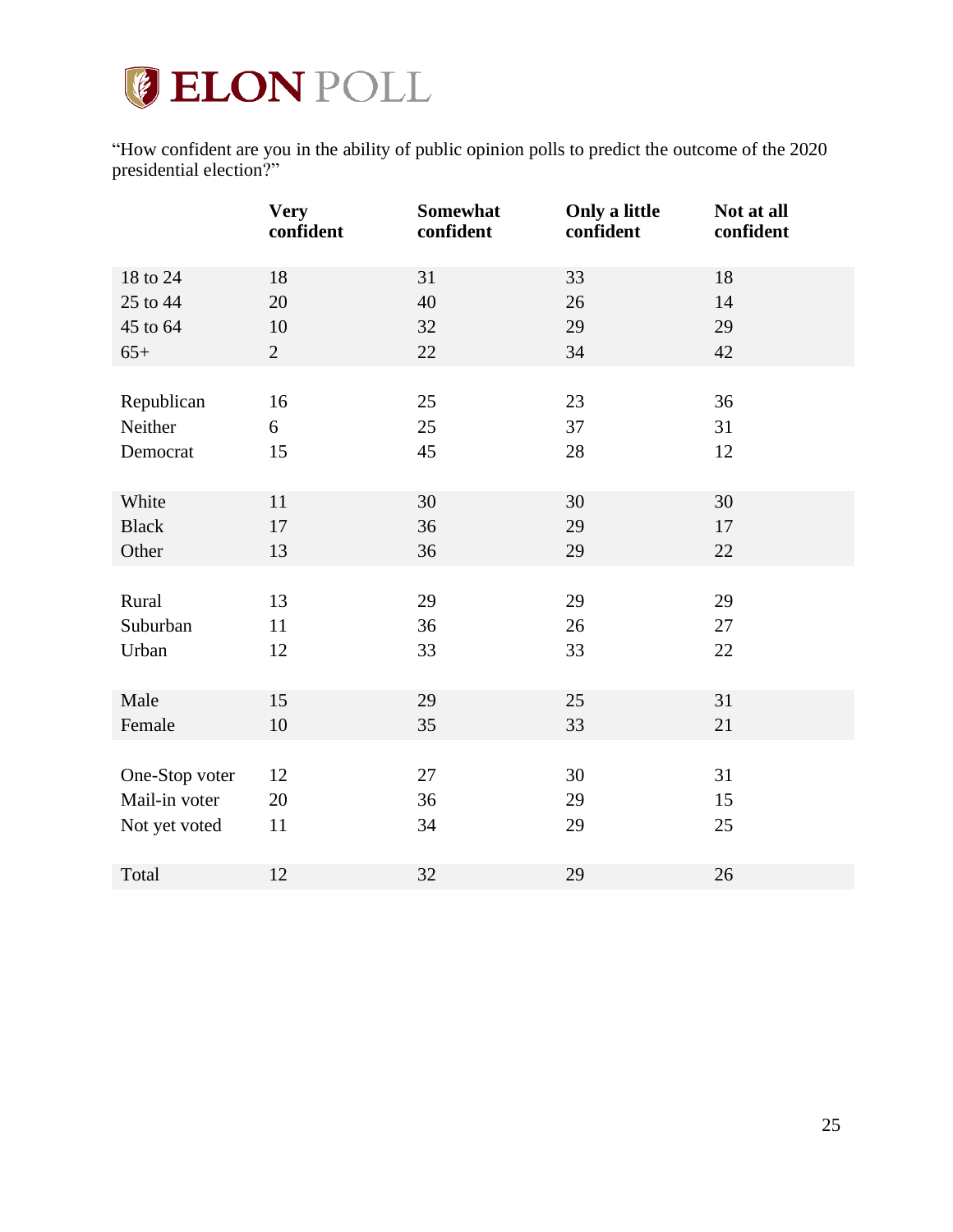

"How confident are you in the ability of public opinion polls to predict the outcome of the 2020 presidential election?"

|                | <b>Very</b><br>confident | Somewhat<br>confident | Only a little<br>confident | Not at all<br>confident |
|----------------|--------------------------|-----------------------|----------------------------|-------------------------|
| 18 to 24       | 18                       | 31                    | 33                         | 18                      |
| 25 to 44       | 20                       | 40                    | 26                         | 14                      |
| 45 to 64       | 10                       | 32                    | 29                         | 29                      |
| $65+$          | $\mathbf{2}$             | 22                    | 34                         | 42                      |
|                |                          |                       |                            |                         |
| Republican     | 16                       | 25                    | 23                         | 36                      |
| Neither        | 6                        | 25                    | 37                         | 31                      |
| Democrat       | 15                       | 45                    | 28                         | 12                      |
|                |                          |                       |                            |                         |
| White          | 11                       | 30                    | 30                         | 30                      |
| <b>Black</b>   | 17                       | 36                    | 29                         | 17                      |
| Other          | 13                       | 36                    | 29                         | 22                      |
|                |                          |                       |                            |                         |
| Rural          | 13                       | 29                    | 29                         | 29                      |
| Suburban       | 11                       | 36                    | 26                         | 27                      |
| Urban          | 12                       | 33                    | 33                         | 22                      |
|                |                          |                       |                            |                         |
| Male           | 15                       | 29                    | 25                         | 31                      |
| Female         | 10                       | 35                    | 33                         | 21                      |
|                |                          |                       |                            |                         |
| One-Stop voter | 12                       | 27                    | 30                         | 31                      |
| Mail-in voter  | 20                       | 36                    | 29                         | 15                      |
| Not yet voted  | 11                       | 34                    | 29                         | 25                      |
|                |                          |                       |                            |                         |
| Total          | 12                       | 32                    | 29                         | 26                      |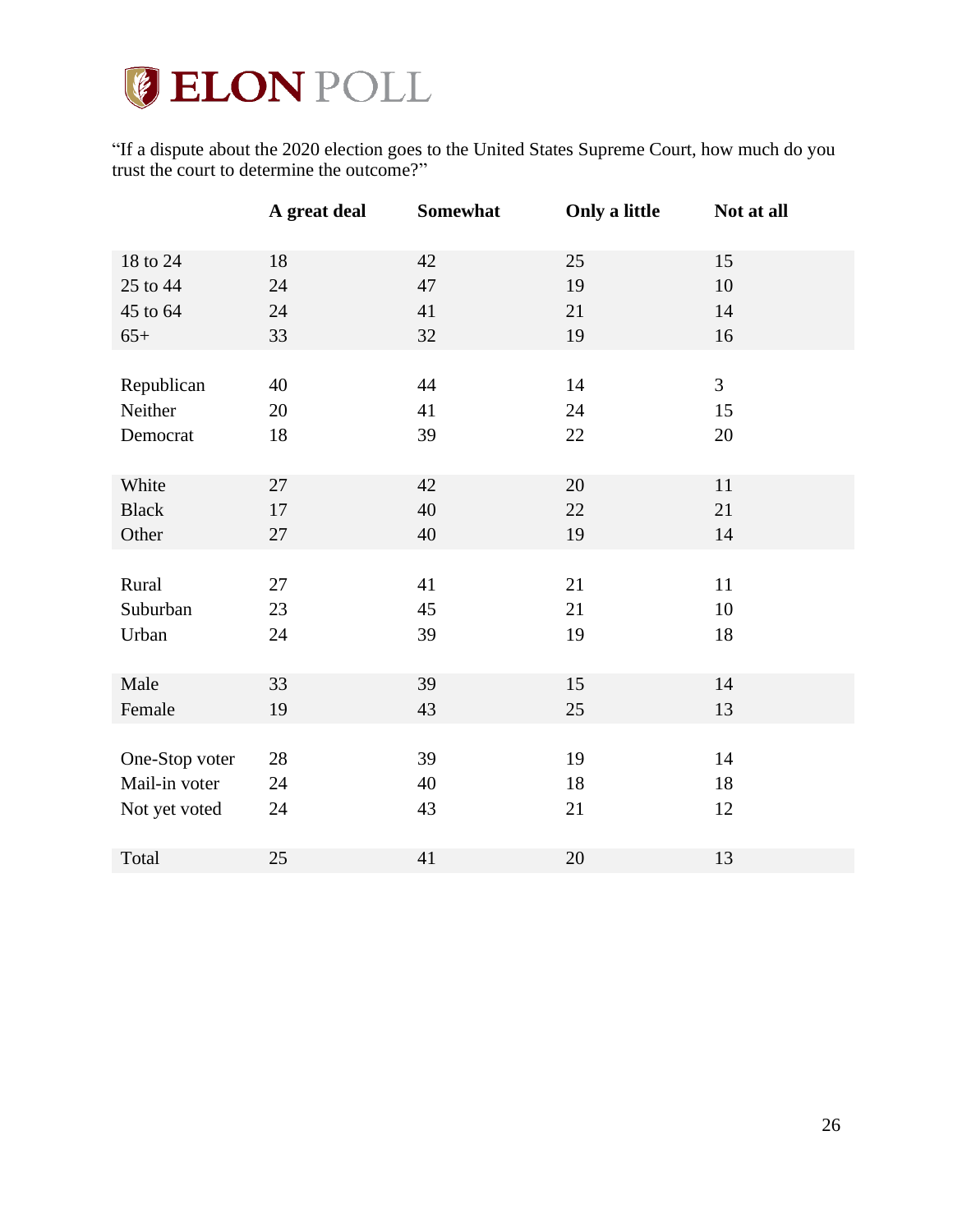# **GELON POLL**

"If a dispute about the 2020 election goes to the United States Supreme Court, how much do you trust the court to determine the outcome?"

|                | A great deal | Somewhat | Only a little | Not at all     |
|----------------|--------------|----------|---------------|----------------|
| 18 to 24       | 18           | 42       | 25            | 15             |
| 25 to 44       | 24           | 47       | 19            | 10             |
| 45 to 64       | 24           | 41       | 21            | 14             |
| $65+$          | 33           | 32       | 19            | 16             |
|                |              |          |               |                |
| Republican     | 40           | 44       | 14            | $\overline{3}$ |
| Neither        | 20           | 41       | 24            | 15             |
| Democrat       | 18           | 39       | 22            | 20             |
|                |              |          |               |                |
| White          | 27           | 42       | 20            | $11\,$         |
| <b>Black</b>   | 17           | 40       | 22            | 21             |
| Other          | 27           | 40       | 19            | 14             |
|                |              |          |               |                |
| Rural          | 27           | 41       | 21            | 11             |
| Suburban       | 23           | 45       | 21            | 10             |
| Urban          | 24           | 39       | 19            | 18             |
|                |              |          |               |                |
| Male           | 33           | 39       | 15            | 14             |
| Female         | 19           | 43       | 25            | 13             |
|                |              |          |               |                |
| One-Stop voter | $28\,$       | 39       | 19            | 14             |
| Mail-in voter  | 24           | 40       | 18            | 18             |
| Not yet voted  | 24           | 43       | 21            | 12             |
|                |              |          |               |                |
| Total          | 25           | 41       | 20            | 13             |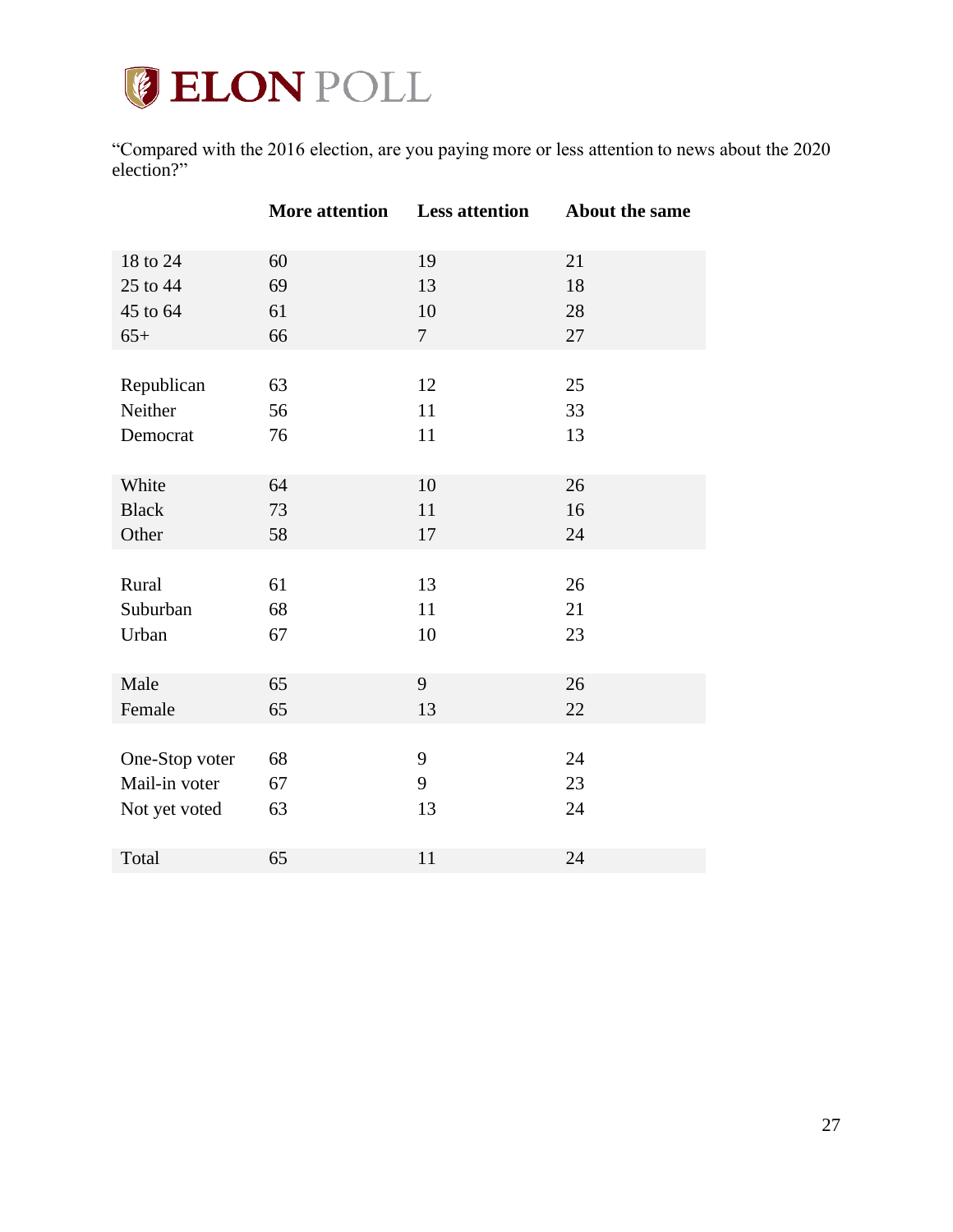

"Compared with the 2016 election, are you paying more or less attention to news about the 2020 election?"

|                | <b>More attention</b> | <b>Less attention</b> | About the same |
|----------------|-----------------------|-----------------------|----------------|
| 18 to 24       | 60                    | 19                    | 21             |
| 25 to 44       | 69                    | 13                    | 18             |
| 45 to 64       | 61                    | 10                    | 28             |
| $65+$          | 66                    | $7\overline{ }$       | 27             |
|                |                       |                       |                |
| Republican     | 63                    | 12                    | 25             |
| Neither        | 56                    | 11                    | 33             |
| Democrat       | 76                    | 11                    | 13             |
|                |                       |                       |                |
| White          | 64                    | 10                    | 26             |
| <b>Black</b>   | 73                    | 11                    | 16             |
| Other          | 58                    | 17                    | 24             |
|                |                       |                       |                |
| Rural          | 61                    | 13                    | 26             |
| Suburban       | 68                    | 11                    | 21             |
| Urban          | 67                    | 10                    | 23             |
|                |                       |                       |                |
| Male           | 65                    | 9                     | 26             |
| Female         | 65                    | 13                    | 22             |
|                |                       |                       |                |
| One-Stop voter | 68                    | 9                     | 24             |
| Mail-in voter  | 67                    | 9                     | 23             |
| Not yet voted  | 63                    | 13                    | 24             |
|                |                       |                       |                |
| Total          | 65                    | 11                    | 24             |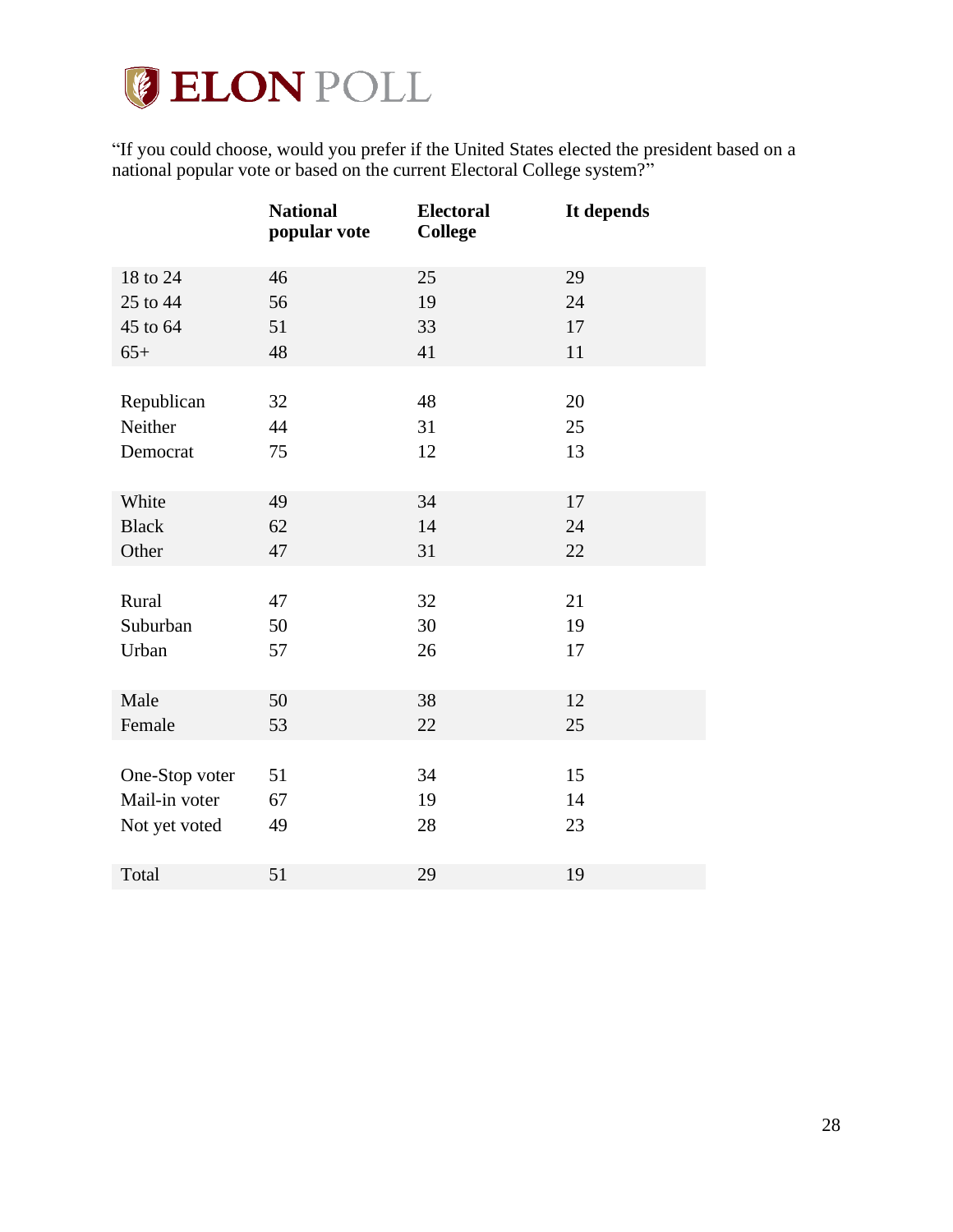

"If you could choose, would you prefer if the United States elected the president based on a national popular vote or based on the current Electoral College system?"

|                | <b>National</b><br>popular vote | <b>Electoral</b><br><b>College</b> | It depends |
|----------------|---------------------------------|------------------------------------|------------|
| 18 to 24       | 46                              | 25                                 | 29         |
| 25 to 44       | 56                              | 19                                 | 24         |
| 45 to 64       | 51                              | 33                                 | 17         |
| $65+$          | 48                              | 41                                 | 11         |
|                |                                 |                                    |            |
| Republican     | 32                              | 48                                 | 20         |
| Neither        | 44                              | 31                                 | 25         |
| Democrat       | 75                              | 12                                 | 13         |
|                |                                 |                                    |            |
| White          | 49                              | 34                                 | 17         |
| <b>Black</b>   | 62                              | 14                                 | 24         |
| Other          | 47                              | 31                                 | 22         |
|                |                                 |                                    |            |
| Rural          | 47                              | 32                                 | 21         |
| Suburban       | 50                              | 30                                 | 19         |
| Urban          | 57                              | 26                                 | 17         |
|                |                                 |                                    |            |
| Male           | 50                              | 38                                 | 12         |
| Female         | 53                              | 22                                 | 25         |
|                |                                 |                                    |            |
| One-Stop voter | 51                              | 34                                 | 15         |
| Mail-in voter  | 67                              | 19                                 | 14         |
| Not yet voted  | 49                              | 28                                 | 23         |
|                |                                 |                                    |            |
| Total          | 51                              | 29                                 | 19         |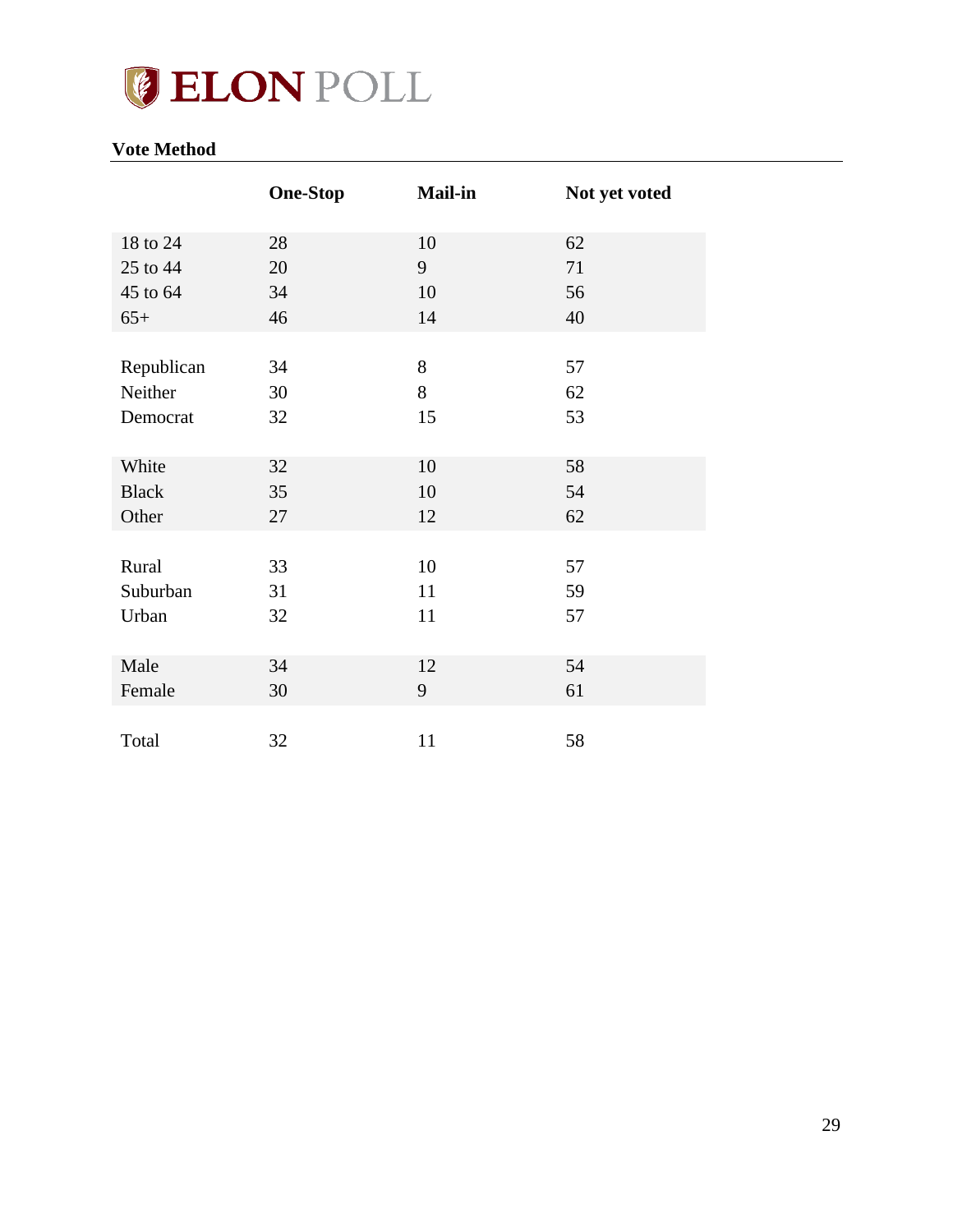

## <span id="page-28-0"></span>**Vote Method**

|              | <b>One-Stop</b> | <b>Mail-in</b> | Not yet voted |
|--------------|-----------------|----------------|---------------|
| 18 to 24     | 28              | 10             | 62            |
| 25 to 44     | 20              | 9              | 71            |
| 45 to 64     | 34              | 10             | 56            |
| $65+$        | 46              | 14             | 40            |
|              |                 |                |               |
| Republican   | 34              | 8              | 57            |
| Neither      | 30              | 8              | 62            |
| Democrat     | 32              | 15             | 53            |
|              |                 |                |               |
| White        | 32              | 10             | 58            |
| <b>Black</b> | 35              | 10             | 54            |
| Other        | 27              | 12             | 62            |
|              |                 |                |               |
| Rural        | 33              | 10             | 57            |
| Suburban     | 31              | 11             | 59            |
| Urban        | 32              | 11             | 57            |
|              |                 |                |               |
| Male         | 34              | 12             | 54            |
| Female       | 30              | 9              | 61            |
|              |                 |                |               |
| Total        | 32              | 11             | 58            |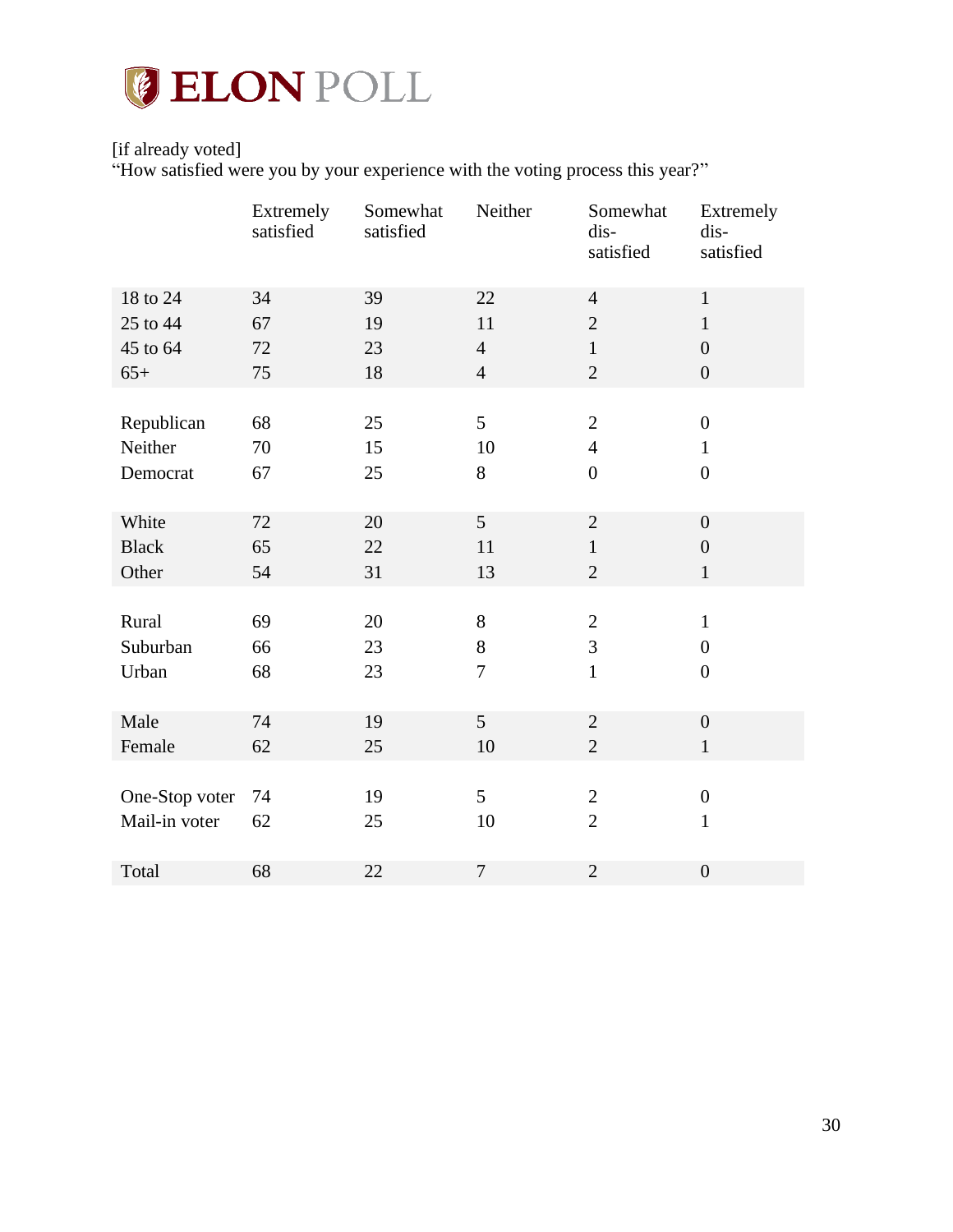

## [if already voted]

"How satisfied were you by your experience with the voting process this year?"

|                | Extremely<br>satisfied | Somewhat<br>satisfied | Neither        | Somewhat<br>dis-<br>satisfied | Extremely<br>dis-<br>satisfied |
|----------------|------------------------|-----------------------|----------------|-------------------------------|--------------------------------|
| 18 to 24       | 34                     | 39                    | 22             | $\overline{4}$                | $\mathbf{1}$                   |
| 25 to 44       | 67                     | 19                    | 11             | $\overline{2}$                | $\mathbf{1}$                   |
| 45 to 64       | 72                     | 23                    | $\overline{4}$ | $\mathbf{1}$                  | $\overline{0}$                 |
| $65+$          | 75                     | 18                    | $\overline{4}$ | $\sqrt{2}$                    | $\boldsymbol{0}$               |
|                |                        |                       |                |                               |                                |
| Republican     | 68                     | 25                    | 5              | $\mathbf{2}$                  | $\boldsymbol{0}$               |
| Neither        | 70                     | 15                    | 10             | $\overline{4}$                | $\mathbf{1}$                   |
| Democrat       | 67                     | 25                    | 8              | $\overline{0}$                | $\overline{0}$                 |
|                |                        |                       |                |                               |                                |
| White          | 72                     | 20                    | 5              | $\sqrt{2}$                    | $\overline{0}$                 |
| <b>Black</b>   | 65                     | 22                    | 11             | $\mathbf{1}$                  | $\overline{0}$                 |
| Other          | 54                     | 31                    | 13             | $\overline{2}$                | $\mathbf{1}$                   |
|                |                        |                       |                |                               |                                |
| Rural          | 69                     | 20                    | $8\,$          | $\mathbf{2}$                  | $\mathbf{1}$                   |
| Suburban       | 66                     | 23                    | 8              | 3                             | $\boldsymbol{0}$               |
| Urban          | 68                     | 23                    | $\tau$         | $\mathbf{1}$                  | $\boldsymbol{0}$               |
|                |                        |                       |                |                               |                                |
| Male           | 74                     | 19                    | 5              | $\overline{2}$                | $\boldsymbol{0}$               |
| Female         | 62                     | 25                    | 10             | $\overline{2}$                | $\mathbf{1}$                   |
|                |                        |                       |                |                               |                                |
| One-Stop voter | 74                     | 19                    | 5              | $\mathbf{2}$                  | $\boldsymbol{0}$               |
| Mail-in voter  | 62                     | 25                    | 10             | $\overline{2}$                | $\mathbf{1}$                   |
|                |                        |                       |                |                               |                                |
| Total          | 68                     | 22                    | $\tau$         | $\overline{2}$                | $\boldsymbol{0}$               |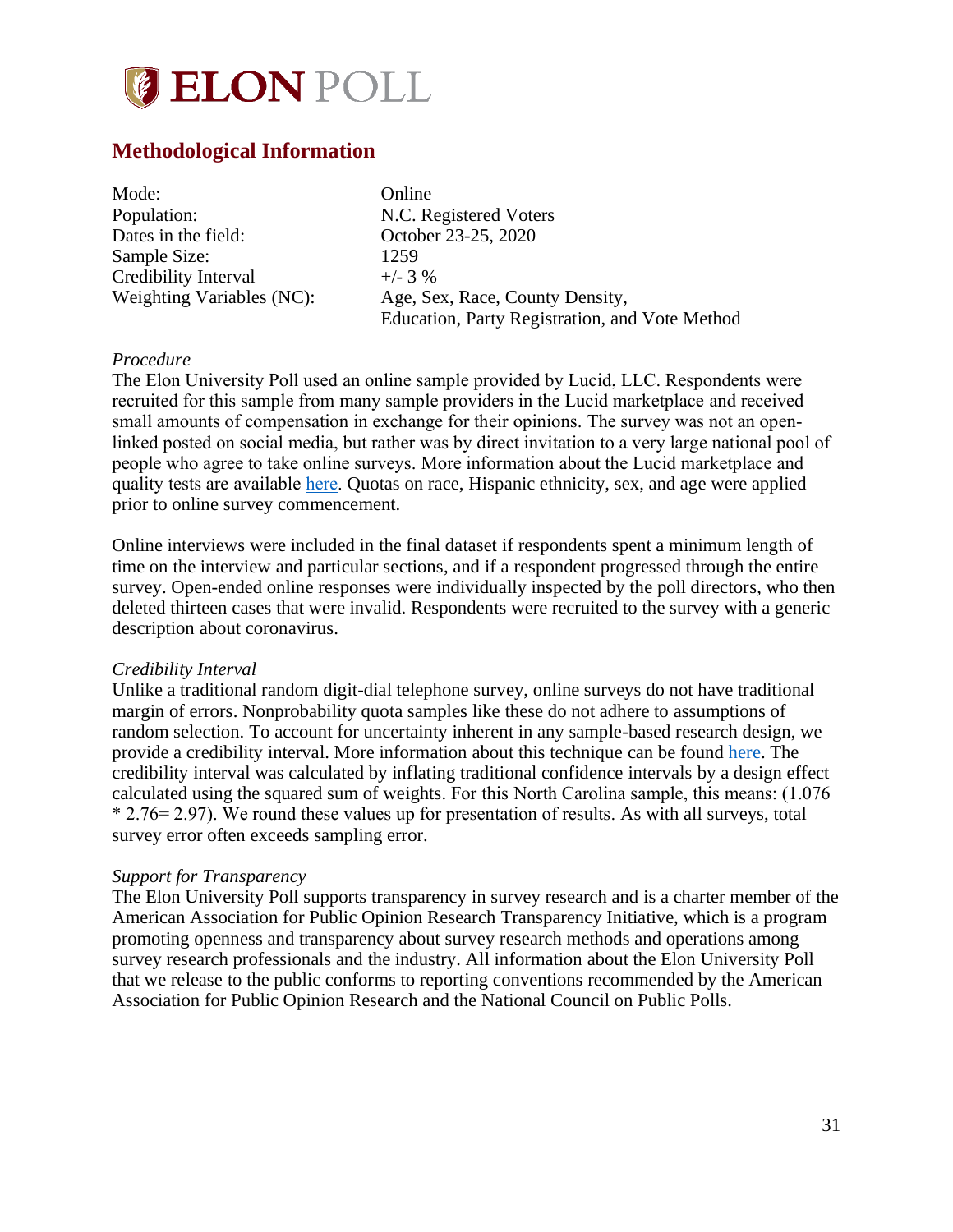

## <span id="page-30-0"></span>**Methodological Information**

| Mode:                            | Online                                         |
|----------------------------------|------------------------------------------------|
| Population:                      | N.C. Registered Voters                         |
| Dates in the field:              | October 23-25, 2020                            |
| Sample Size:                     | 1259                                           |
| Credibility Interval             | $+/-$ 3 %                                      |
| <b>Weighting Variables (NC):</b> | Age, Sex, Race, County Density,                |
|                                  | Education, Party Registration, and Vote Method |

### *Procedure*

The Elon University Poll used an online sample provided by Lucid, LLC. Respondents were recruited for this sample from many sample providers in the Lucid marketplace and received small amounts of compensation in exchange for their opinions. The survey was not an openlinked posted on social media, but rather was by direct invitation to a very large national pool of people who agree to take online surveys. More information about the Lucid marketplace and quality tests are available [here.](https://luc.id/quality/) Quotas on race, Hispanic ethnicity, sex, and age were applied prior to online survey commencement.

Online interviews were included in the final dataset if respondents spent a minimum length of time on the interview and particular sections, and if a respondent progressed through the entire survey. Open-ended online responses were individually inspected by the poll directors, who then deleted thirteen cases that were invalid. Respondents were recruited to the survey with a generic description about coronavirus.

#### *Credibility Interval*

Unlike a traditional random digit-dial telephone survey, online surveys do not have traditional margin of errors. Nonprobability quota samples like these do not adhere to assumptions of random selection. To account for uncertainty inherent in any sample-based research design, we provide a credibility interval. More information about this technique can be found [here.](https://www.aapor.org/Education-Resources/Election-Polling-Resources/Margin-of-Sampling-Error-Credibility-Interval.aspx) The credibility interval was calculated by inflating traditional confidence intervals by a design effect calculated using the squared sum of weights. For this North Carolina sample, this means: (1.076 \* 2.76= 2.97). We round these values up for presentation of results. As with all surveys, total survey error often exceeds sampling error.

#### *Support for Transparency*

The Elon University Poll supports transparency in survey research and is a charter member of the American Association for Public Opinion Research Transparency Initiative, which is a program promoting openness and transparency about survey research methods and operations among survey research professionals and the industry. All information about the Elon University Poll that we release to the public conforms to reporting conventions recommended by the American Association for Public Opinion Research and the National Council on Public Polls.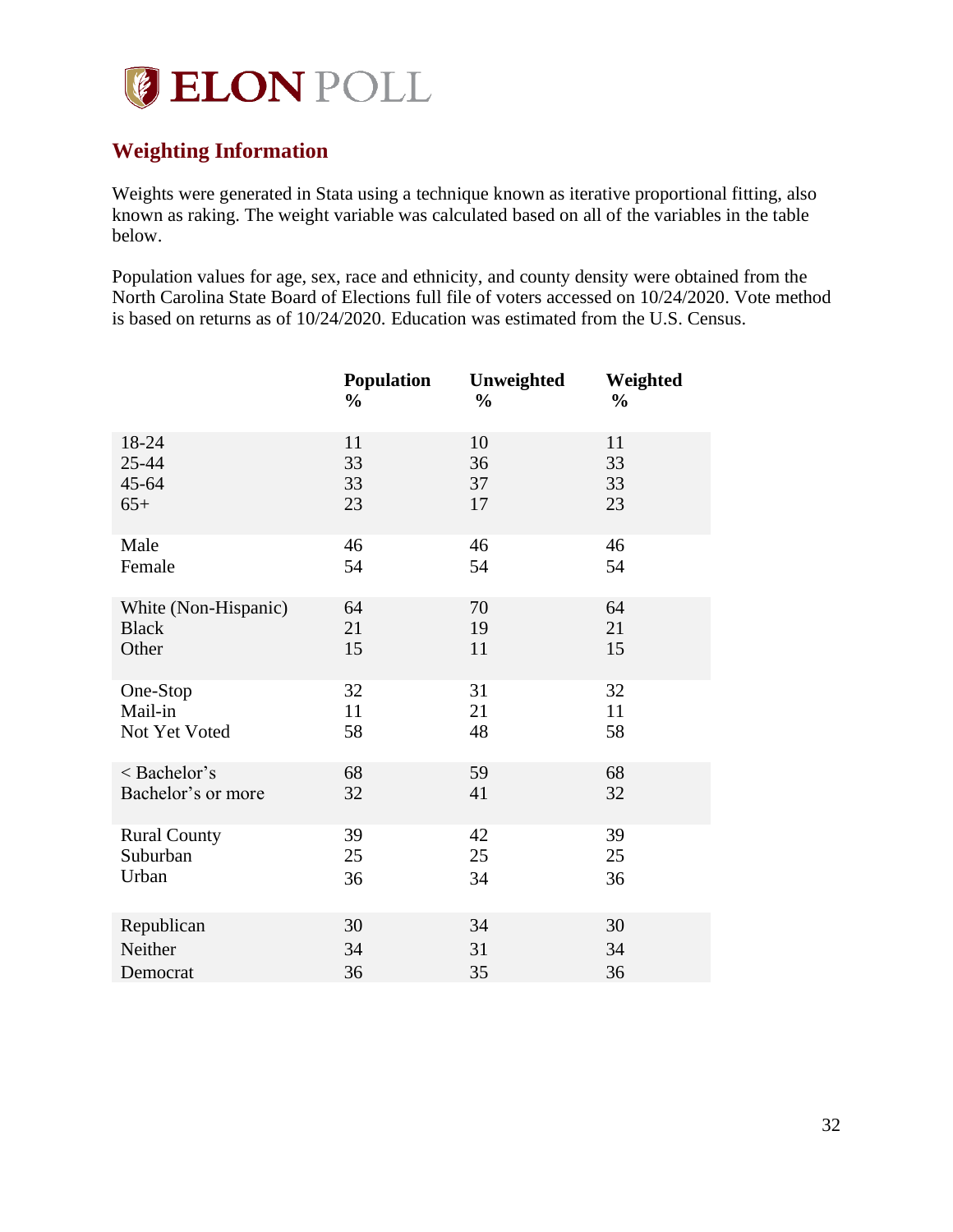

## <span id="page-31-0"></span>**Weighting Information**

Weights were generated in Stata using a technique known as iterative proportional fitting, also known as raking. The weight variable was calculated based on all of the variables in the table below.

Population values for age, sex, race and ethnicity, and county density were obtained from the North Carolina State Board of Elections full file of voters accessed on 10/24/2020. Vote method is based on returns as of 10/24/2020. Education was estimated from the U.S. Census.

|                      | <b>Population</b> | Unweighted    | Weighted      |
|----------------------|-------------------|---------------|---------------|
|                      | $\frac{6}{6}$     | $\frac{0}{0}$ | $\frac{0}{0}$ |
| 18-24                | 11                | 10            | 11            |
| 25-44                | 33                | 36            | 33            |
| $45 - 64$            | 33                | 37            | 33            |
| $65+$                | 23                | 17            | 23            |
| Male                 | 46                | 46            | 46            |
| Female               | 54                | 54            | 54            |
| White (Non-Hispanic) | 64                | 70            | 64            |
| <b>Black</b>         | 21                | 19            | 21            |
| Other                | 15                | 11            | 15            |
| One-Stop             | 32                | 31            | 32            |
| Mail-in              | 11                | 21            | 11            |
| Not Yet Voted        | 58                | 48            | 58            |
| < Bachelor's         | 68                | 59            | 68            |
| Bachelor's or more   | 32                | 41            | 32            |
| <b>Rural County</b>  | 39                | 42            | 39            |
| Suburban             | 25                | 25            | 25            |
| Urban                | 36                | 34            | 36            |
| Republican           | 30                | 34            | 30            |
| Neither              | 34                | 31            | 34            |
| Democrat             | 36                | 35            | 36            |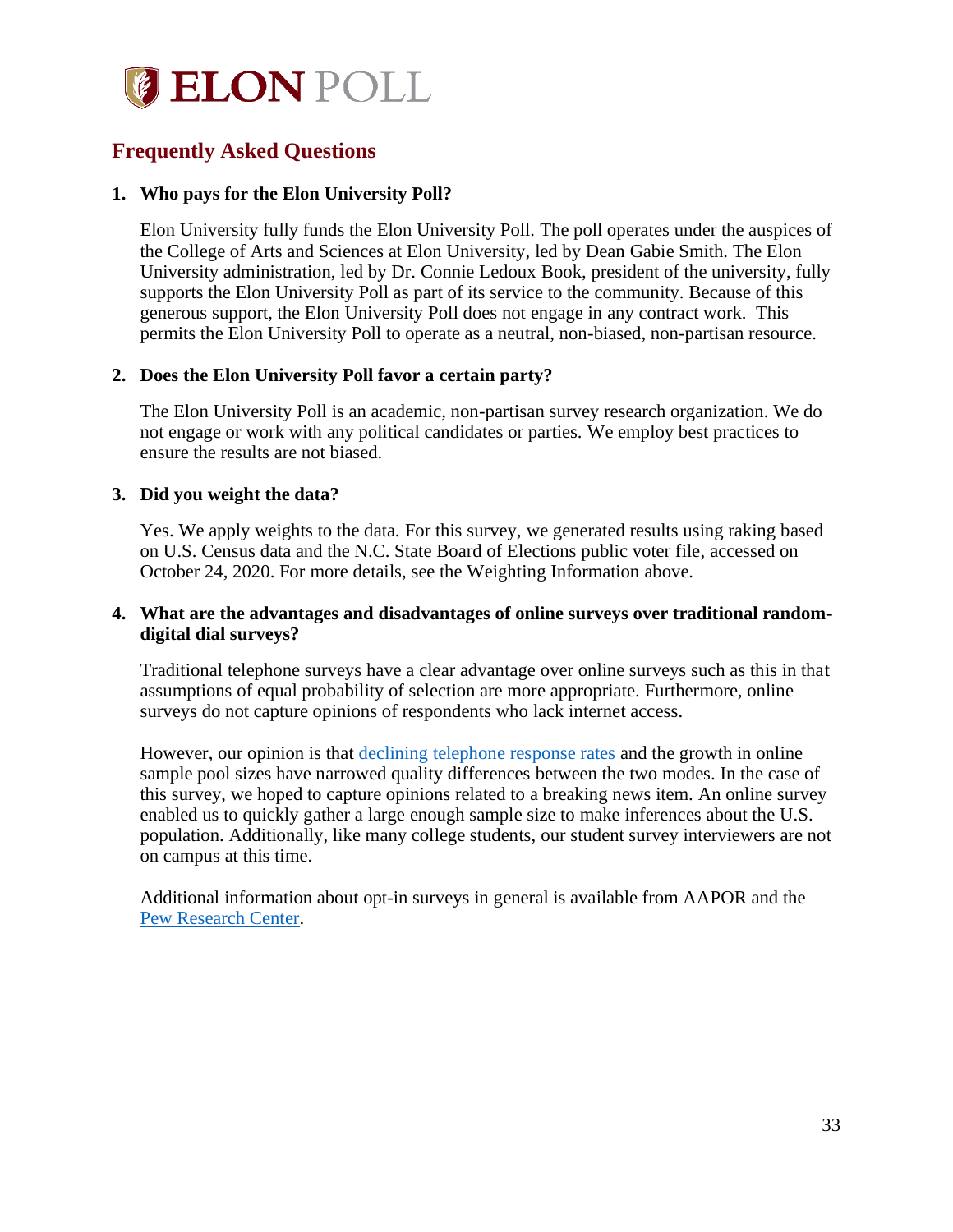

## <span id="page-32-0"></span>**Frequently Asked Questions**

### **1. Who pays for the Elon University Poll?**

Elon University fully funds the Elon University Poll. The poll operates under the auspices of the College of Arts and Sciences at Elon University, led by Dean Gabie Smith. The Elon University administration, led by Dr. Connie Ledoux Book, president of the university, fully supports the Elon University Poll as part of its service to the community. Because of this generous support, the Elon University Poll does not engage in any contract work. This permits the Elon University Poll to operate as a neutral, non-biased, non-partisan resource.

### **2. Does the Elon University Poll favor a certain party?**

The Elon University Poll is an academic, non-partisan survey research organization. We do not engage or work with any political candidates or parties. We employ best practices to ensure the results are not biased.

#### **3. Did you weight the data?**

Yes. We apply weights to the data. For this survey, we generated results using raking based on U.S. Census data and the N.C. State Board of Elections public voter file, accessed on October 24, 2020. For more details, see the Weighting Information above.

### **4. What are the advantages and disadvantages of online surveys over traditional randomdigital dial surveys?**

Traditional telephone surveys have a clear advantage over online surveys such as this in that assumptions of equal probability of selection are more appropriate. Furthermore, online surveys do not capture opinions of respondents who lack internet access.

However, our opinion is that [declining telephone response rates](http://www.pewresearch.org/fact-tank/2019/02/27/response-rates-in-telephone-surveys-have-resumed-their-decline/) and the growth in online sample pool sizes have narrowed quality differences between the two modes. In the case of this survey, we hoped to capture opinions related to a breaking news item. An online survey enabled us to quickly gather a large enough sample size to make inferences about the U.S. population. Additionally, like many college students, our student survey interviewers are not on campus at this time.

Additional information about opt-in surveys in general is available from AAPOR and the [Pew Research Center.](http://www.pewresearch.org/fact-tank/2018/08/06/what-are-nonprobability-surveys/)